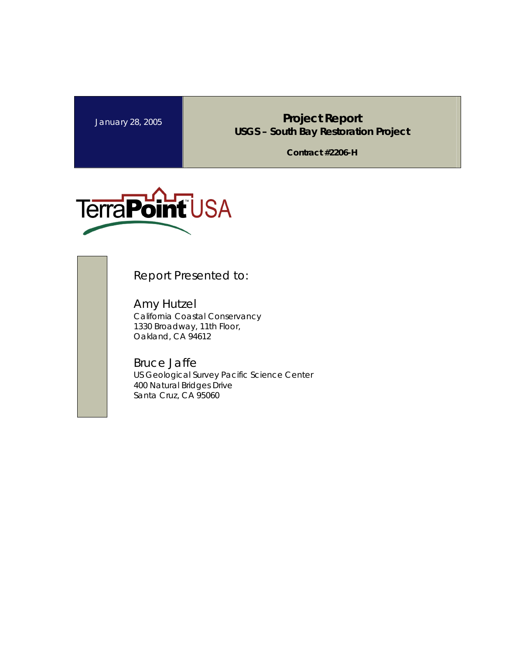January 28, 2005<br>**Project Report USGS – South Bay Restoration Project** 

**Contract #2206-H** 



Report Presented to:

Amy Hutzel California Coastal Conservancy 1330 Broadway, 11th Floor, Oakland, CA 94612

Bruce Jaffe US Geological Survey Pacific Science Center 400 Natural Bridges Drive Santa Cruz, CA 95060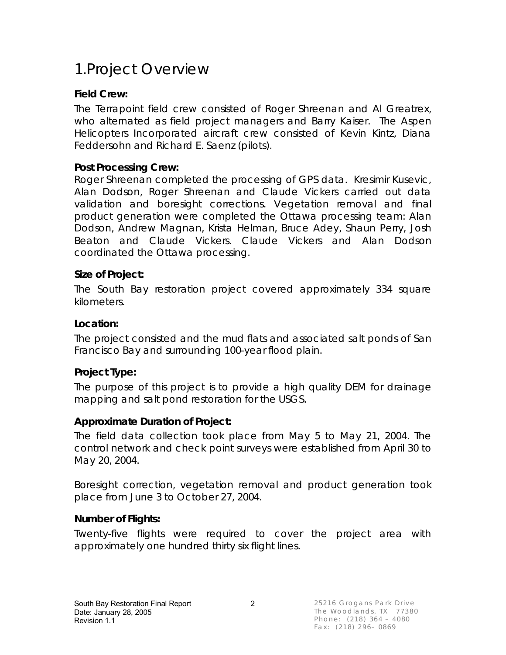## 1.Project Overview

### **Field Crew:**

The Terrapoint field crew consisted of Roger Shreenan and Al Greatrex, who alternated as field project managers and Barry Kaiser. The Aspen Helicopters Incorporated aircraft crew consisted of Kevin Kintz, Diana Feddersohn and Richard E. Saenz (pilots).

### **Post Processing Crew:**

Roger Shreenan completed the processing of GPS data. Kresimir Kusevic, Alan Dodson, Roger Shreenan and Claude Vickers carried out data validation and boresight corrections. Vegetation removal and final product generation were completed the Ottawa processing team: Alan Dodson, Andrew Magnan, Krista Helman, Bruce Adey, Shaun Perry, Josh Beaton and Claude Vickers. Claude Vickers and Alan Dodson coordinated the Ottawa processing.

### **Size of Project:**

The South Bay restoration project covered approximately 334 square kilometers.

### **Location:**

The project consisted and the mud flats and associated salt ponds of San Francisco Bay and surrounding 100-year flood plain.

### **Project Type:**

The purpose of this project is to provide a high quality DEM for drainage mapping and salt pond restoration for the USGS.

### **Approximate Duration of Project:**

The field data collection took place from May 5 to May 21, 2004. The control network and check point surveys were established from April 30 to May 20, 2004.

Boresight correction, vegetation removal and product generation took place from June 3 to October 27, 2004.

### **Number of Flights:**

Twenty-five flights were required to cover the project area with approximately one hundred thirty six flight lines.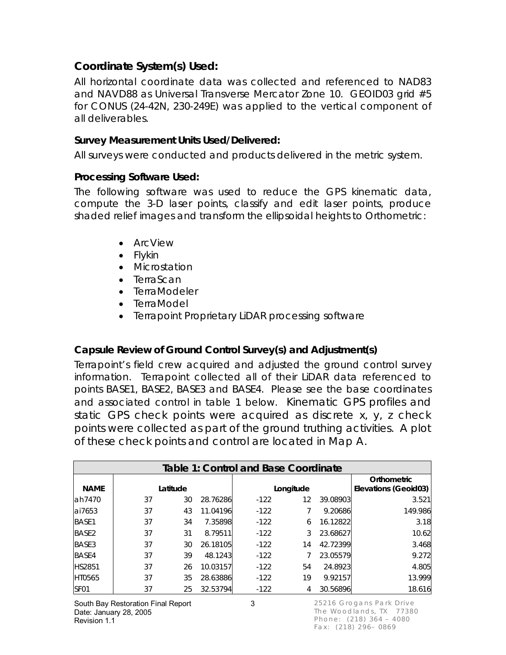### **Coordinate System(s) Used:**

All horizontal coordinate data was collected and referenced to NAD83 and NAVD88 as Universal Transverse Mercator Zone 10. GEOID03 grid #5 for CONUS (24-42N, 230-249E) was applied to the vertical component of all deliverables.

#### **Survey Measurement Units Used/Delivered:**

All surveys were conducted and products delivered in the metric system.

#### **Processing Software Used:**

The following software was used to reduce the GPS kinematic data, compute the 3-D laser points, classify and edit laser points, produce shaded relief images and transform the ellipsoidal heights to Orthometric:

- ArcView
- · Flykin
- · Microstation
- · TerraScan
- · TerraModeler
- · TerraModel
- · Terrapoint Proprietary LiDAR processing software

**Capsule Review of Ground Control Survey(s) and Adjustment(s)** 

Terrapoint's field crew acquired and adjusted the ground control survey information. Terrapoint collected all of their LiDAR data referenced to points BASE1, BASE2, BASE3 and BASE4. Please see the base coordinates and associated control in table 1 below. Kinematic GPS profiles and static GPS check points were acquired as discrete x, y, z check points were collected as part of the ground truthing activities. A plot of these check points and control are located in Map A.

|                   | Table 1: Control and Base Coordinate |          |          |        |           |          |                      |  |  |  |
|-------------------|--------------------------------------|----------|----------|--------|-----------|----------|----------------------|--|--|--|
|                   |                                      |          |          |        |           |          | Orthometric          |  |  |  |
| <b>NAME</b>       |                                      | Latitude |          |        | Longitude |          | Elevations (Geoid03) |  |  |  |
| lah7470           | 37                                   | 30       | 28.76286 | $-122$ | 12        | 39.08903 | 3.521                |  |  |  |
| lai7653           | 37                                   | 43       | 11.04196 | $-122$ |           | 9.20686  | 149.986              |  |  |  |
| BASE1             | 37                                   | 34       | 7.35898  | $-122$ | 6         | 16.12822 | 3.18                 |  |  |  |
| BASE <sub>2</sub> | 37                                   | 31       | 8.79511  | $-122$ | 3         | 23.68627 | 10.62                |  |  |  |
| BASE3             | 37                                   | 30       | 26.18105 | $-122$ | 14        | 42.72399 | 3.468                |  |  |  |
| BASE4             | 37                                   | 39       | 48.1243  | $-122$ |           | 23.05579 | 9.272                |  |  |  |
| <b>HS2851</b>     | 37                                   | 26       | 10.03157 | $-122$ | 54        | 24.8923  | 4.805                |  |  |  |
| <b>HT0565</b>     | 37                                   | 35       | 28.63886 | $-122$ | 19        | 9.92157  | 13.999               |  |  |  |
| SF <sub>01</sub>  | 37                                   | 25       | 32.53794 | $-122$ | 4         | 30.56896 | 18.616               |  |  |  |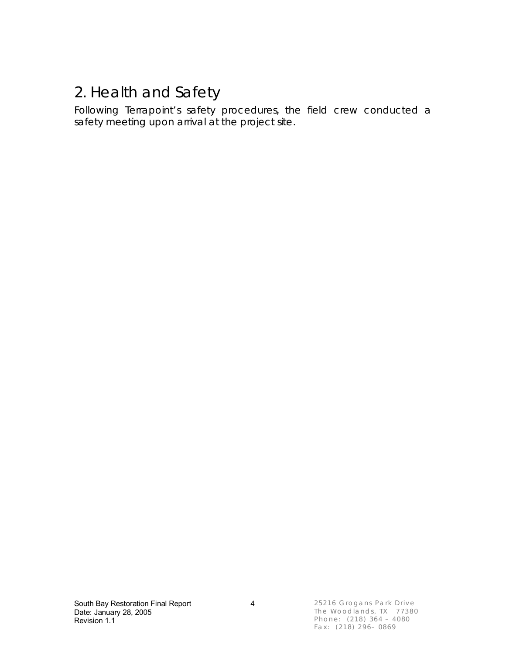## 2. Health and Safety

Following Terrapoint's safety procedures, the field crew conducted a safety meeting upon arrival at the project site.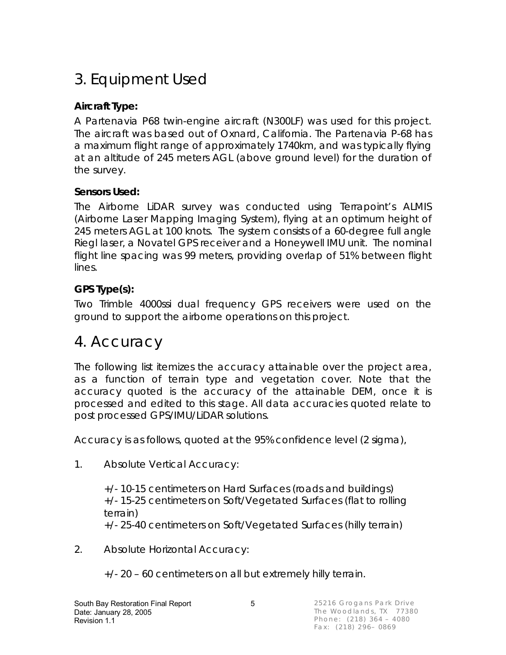# 3. Equipment Used

### **Aircraft Type:**

A Partenavia P68 twin-engine aircraft (N300LF) was used for this project. The aircraft was based out of Oxnard, California. The Partenavia P-68 has a maximum flight range of approximately 1740km, and was typically flying at an altitude of 245 meters AGL (above ground level) for the duration of the survey.

### **Sensors Used:**

The Airborne LiDAR survey was conducted using Terrapoint's ALMIS (Airborne Laser Mapping Imaging System), flying at an optimum height of 245 meters AGL at 100 knots. The system consists of a 60-degree full angle Riegl laser, a Novatel GPS receiver and a Honeywell IMU unit. The nominal flight line spacing was 99 meters, providing overlap of 51% between flight lines.

### **GPS Type(s):**

Two Trimble 4000ssi dual frequency GPS receivers were used on the ground to support the airborne operations on this project.

## 4. Accuracy

The following list itemizes the accuracy attainable over the project area, as a function of terrain type and vegetation cover. Note that the accuracy quoted is the accuracy of the attainable DEM, once it is processed and edited to this stage. All data accuracies quoted relate to post processed GPS/IMU/LiDAR solutions.

Accuracy is as follows, quoted at the 95% confidence level (2 sigma),

1. Absolute Vertical Accuracy:

+/- 10-15 centimeters on Hard Surfaces (roads and buildings) +/- 15-25 centimeters on Soft/Vegetated Surfaces (flat to rolling terrain)

+/- 25-40 centimeters on Soft/Vegetated Surfaces (hilly terrain)

2. Absolute Horizontal Accuracy:

+/- 20 – 60 centimeters on all but extremely hilly terrain.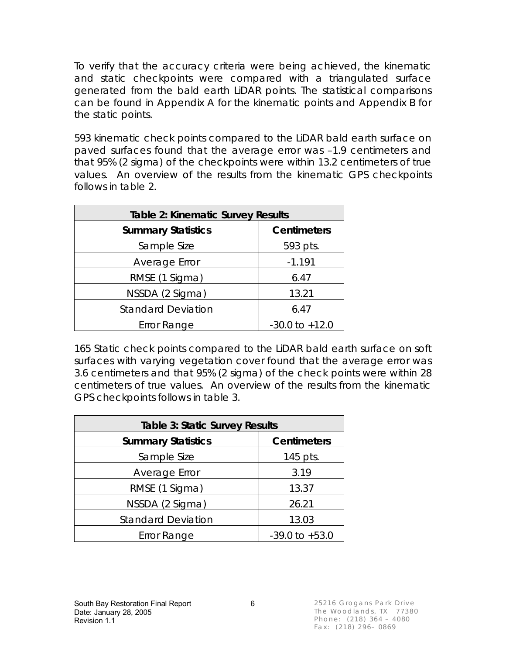To verify that the accuracy criteria were being achieved, the kinematic and static checkpoints were compared with a triangulated surface generated from the bald earth LiDAR points. The statistical comparisons can be found in Appendix A for the kinematic points and Appendix B for the static points.

593 kinematic check points compared to the LiDAR bald earth surface on paved surfaces found that the average error was –1.9 centimeters and that 95% (2 sigma) of the checkpoints were within 13.2 centimeters of true values. An overview of the results from the kinematic GPS checkpoints follows in table 2.

| Table 2: Kinematic Survey Results |                    |  |  |  |  |
|-----------------------------------|--------------------|--|--|--|--|
| <b>Summary Statistics</b>         | <b>Centimeters</b> |  |  |  |  |
| Sample Size                       | 593 pts.           |  |  |  |  |
| Average Error                     | $-1.191$           |  |  |  |  |
| RMSE (1 Sigma)                    | 6.47               |  |  |  |  |
| NSSDA (2 Sigma)                   | 13.21              |  |  |  |  |
| <b>Standard Deviation</b>         | 6.47               |  |  |  |  |
| Error Range                       | $-30.0$ to $+12.0$ |  |  |  |  |

165 Static check points compared to the LiDAR bald earth surface on soft surfaces with varying vegetation cover found that the average error was 3.6 centimeters and that 95% (2 sigma) of the check points were within 28 centimeters of true values. An overview of the results from the kinematic GPS checkpoints follows in table 3.

| Table 3: Static Survey Results |                    |  |  |  |  |
|--------------------------------|--------------------|--|--|--|--|
| <b>Summary Statistics</b>      | <b>Centimeters</b> |  |  |  |  |
| Sample Size                    | 145 pts.           |  |  |  |  |
| Average Error                  | 3.19               |  |  |  |  |
| RMSE (1 Sigma)                 | 13.37              |  |  |  |  |
| NSSDA (2 Sigma)                | 26.21              |  |  |  |  |
| <b>Standard Deviation</b>      | 13.03              |  |  |  |  |
| <b>Error Range</b>             | $-39.0$ to $+53.0$ |  |  |  |  |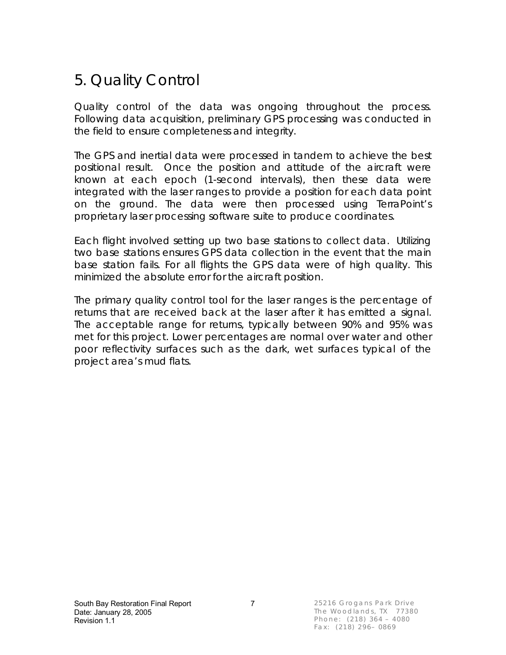## 5. Quality Control

Quality control of the data was ongoing throughout the process. Following data acquisition, preliminary GPS processing was conducted in the field to ensure completeness and integrity.

The GPS and inertial data were processed in tandem to achieve the best positional result. Once the position and attitude of the aircraft were known at each epoch (1-second intervals), then these data were integrated with the laser ranges to provide a position for each data point on the ground. The data were then processed using TerraPoint's proprietary laser processing software suite to produce coordinates.

Each flight involved setting up two base stations to collect data. Utilizing two base stations ensures GPS data collection in the event that the main base station fails. For all flights the GPS data were of high quality. This minimized the absolute error for the aircraft position.

The primary quality control tool for the laser ranges is the percentage of returns that are received back at the laser after it has emitted a signal. The acceptable range for returns, typically between 90% and 95% was met for this project. Lower percentages are normal over water and other poor reflectivity surfaces such as the dark, wet surfaces typical of the project area's mud flats.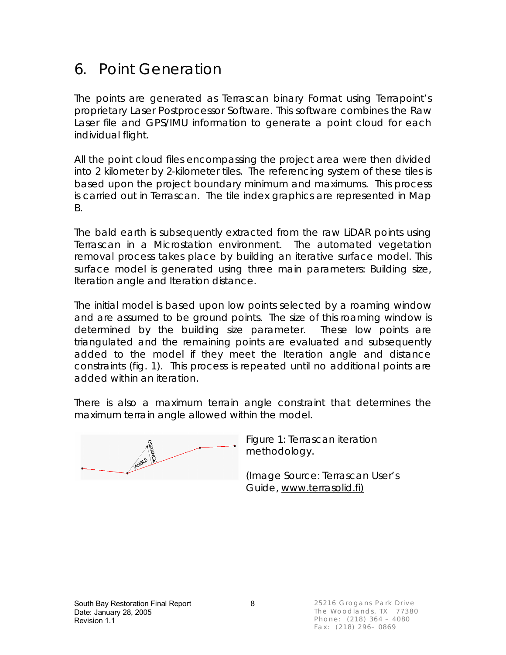### 6. Point Generation

The points are generated as Terrascan binary Format using Terrapoint's proprietary Laser Postprocessor Software. This software combines the Raw Laser file and GPS/IMU information to generate a point cloud for each individual flight.

All the point cloud files encompassing the project area were then divided into 2 kilometer by 2-kilometer tiles. The referencing system of these tiles is based upon the project boundary minimum and maximums. This process is carried out in Terrascan. The tile index graphics are represented in Map B.

The bald earth is subsequently extracted from the raw LiDAR points using Terrascan in a Microstation environment. The automated vegetation removal process takes place by building an iterative surface model. This surface model is generated using three main parameters: Building size, Iteration angle and Iteration distance.

The initial model is based upon low points selected by a roaming window and are assumed to be ground points. The size of this roaming window is determined by the building size parameter. These low points are triangulated and the remaining points are evaluated and subsequently added to the model if they meet the Iteration angle and distance constraints (fig. 1). This process is repeated until no additional points are added within an iteration.

There is also a maximum terrain angle constraint that determines the maximum terrain angle allowed within the model.

Figure 1: Terrascan iteration methodology.

(Image Source: Terrascan User's Guide, [www.terrasolid.fi\)](http://www.terrasolid.fi))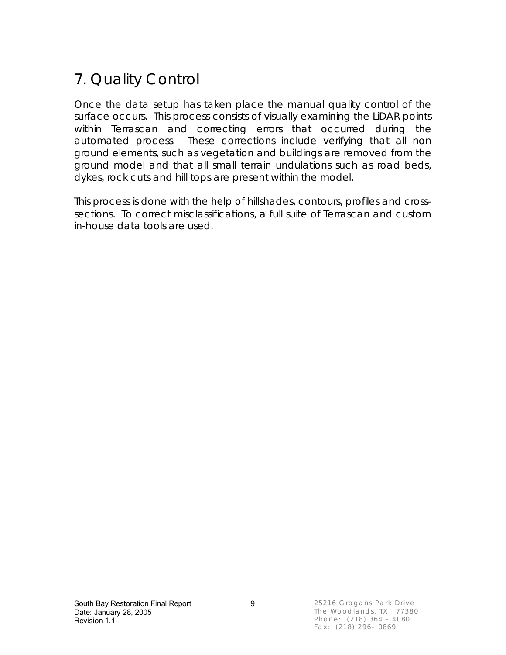# 7. Quality Control

Once the data setup has taken place the manual quality control of the surface occurs. This process consists of visually examining the LiDAR points within Terrascan and correcting errors that occurred during the automated process. These corrections include verifying that all non ground elements, such as vegetation and buildings are removed from the ground model and that all small terrain undulations such as road beds, dykes, rock cuts and hill tops are present within the model.

This process is done with the help of hillshades, contours, profiles and crosssections. To correct misclassifications, a full suite of Terrascan and custom in-house data tools are used.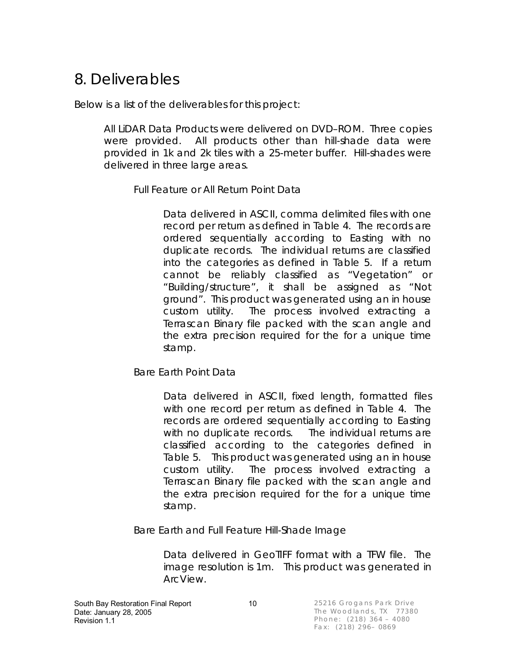## 8. Deliverables

Below is a list of the deliverables for this project:

All LiDAR Data Products were delivered on DVD–ROM. Three copies were provided. All products other than hill-shade data were provided in 1k and 2k tiles with a 25-meter buffer. Hill-shades were delivered in three large areas.

Full Feature or All Return Point Data

Data delivered in ASCII, comma delimited files with one record per return as defined in Table 4. The records are ordered sequentially according to Easting with no duplicate records. The individual returns are classified into the categories as defined in Table 5. If a return cannot be reliably classified as "Vegetation" or "Building/structure", it shall be assigned as "Not ground". This product was generated using an in house custom utility. The process involved extracting a Terrascan Binary file packed with the scan angle and the extra precision required for the for a unique time stamp.

Bare Earth Point Data

Data delivered in ASCII, fixed length, formatted files with one record per return as defined in Table 4. The records are ordered sequentially according to Easting with no duplicate records. The individual returns are classified according to the categories defined in Table 5. This product was generated using an in house custom utility. The process involved extracting a Terrascan Binary file packed with the scan angle and the extra precision required for the for a unique time stamp.

Bare Earth and Full Feature Hill-Shade Image

Data delivered in GeoTIFF format with a TFW file. The image resolution is 1m. This product was generated in ArcView.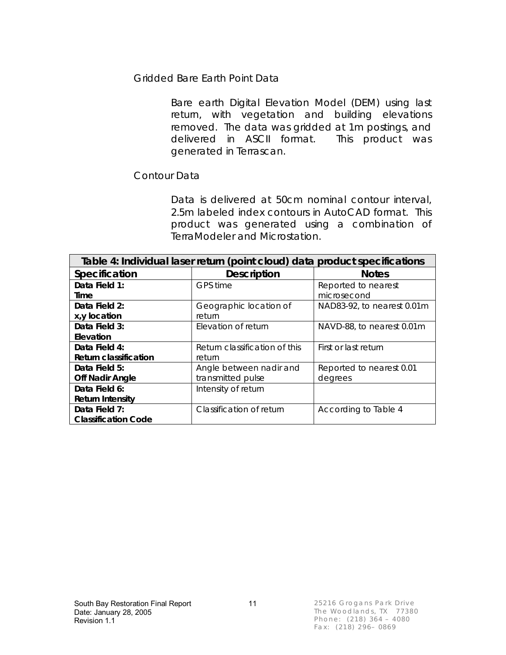Gridded Bare Earth Point Data

Bare earth Digital Elevation Model (DEM) using last return, with vegetation and building elevations removed. The data was gridded at 1m postings, and delivered in ASCII format. This product was generated in Terrascan.

### Contour Data

Data is delivered at 50cm nominal contour interval, 2.5m labeled index contours in AutoCAD format. This product was generated using a combination of TerraModeler and Microstation.

| Table 4: Individual laser return (point cloud) data product specifications |                               |                            |  |  |  |  |  |
|----------------------------------------------------------------------------|-------------------------------|----------------------------|--|--|--|--|--|
| Specification                                                              | <b>Description</b>            | <b>Notes</b>               |  |  |  |  |  |
| Data Field 1:                                                              | GPS time                      | Reported to nearest        |  |  |  |  |  |
| Time                                                                       |                               | microsecond                |  |  |  |  |  |
| Data Field 2:                                                              | Geographic location of        | NAD83-92, to nearest 0.01m |  |  |  |  |  |
| x, y location                                                              | return                        |                            |  |  |  |  |  |
| Data Field 3:                                                              | Elevation of return           | NAVD-88, to nearest 0.01m  |  |  |  |  |  |
| Elevation                                                                  |                               |                            |  |  |  |  |  |
| Data Field 4:                                                              | Return classification of this | First or last return       |  |  |  |  |  |
| Return classification                                                      | return                        |                            |  |  |  |  |  |
| Data Field 5:                                                              | Angle between nadir and       | Reported to nearest 0.01   |  |  |  |  |  |
| <b>Off Nadir Angle</b>                                                     | transmitted pulse             | degrees                    |  |  |  |  |  |
| Data Field 6:                                                              | Intensity of return           |                            |  |  |  |  |  |
| Return Intensity                                                           |                               |                            |  |  |  |  |  |
| Data Field 7:                                                              | Classification of return      | According to Table 4       |  |  |  |  |  |
| <b>Classification Code</b>                                                 |                               |                            |  |  |  |  |  |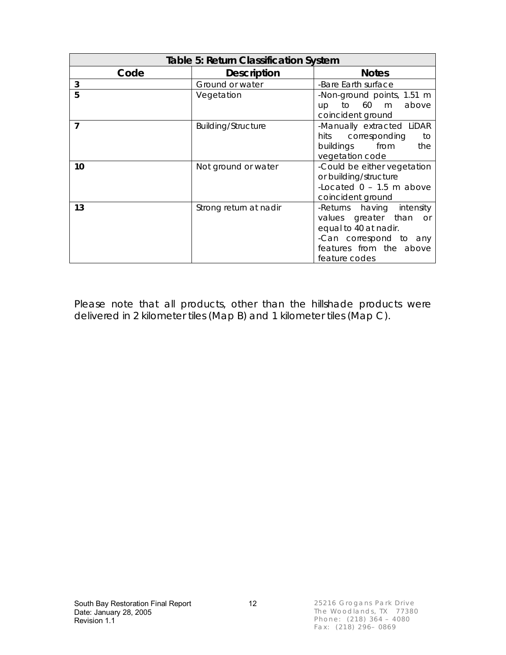| Table 5: Return Classification System |                           |                                                                                                                                                       |  |  |  |  |  |
|---------------------------------------|---------------------------|-------------------------------------------------------------------------------------------------------------------------------------------------------|--|--|--|--|--|
| Code                                  | <b>Description</b>        | <b>Notes</b>                                                                                                                                          |  |  |  |  |  |
| 3                                     | Ground or water           | -Bare Earth surface                                                                                                                                   |  |  |  |  |  |
| 5                                     | Vegetation                | -Non-ground points, 1.51 m<br>60<br>above<br>to<br>m<br>up.<br>coincident ground                                                                      |  |  |  |  |  |
| 7                                     | <b>Building/Structure</b> | -Manually extracted LiDAR<br>corresponding<br>hits<br>to<br>buildings<br>from<br>the<br>vegetation code                                               |  |  |  |  |  |
| 10                                    | Not ground or water       | -Could be either vegetation<br>or building/structure<br>-Located $0 - 1.5$ m above<br>coincident ground                                               |  |  |  |  |  |
| 13                                    | Strong return at nadir    | -Returns having intensity<br>values greater than<br>or<br>equal to 40 at nadir.<br>-Can correspond to any<br>features from the above<br>feature codes |  |  |  |  |  |

Please note that all products, other than the hillshade products were delivered in 2 kilometer tiles (Map B) and 1 kilometer tiles (Map C).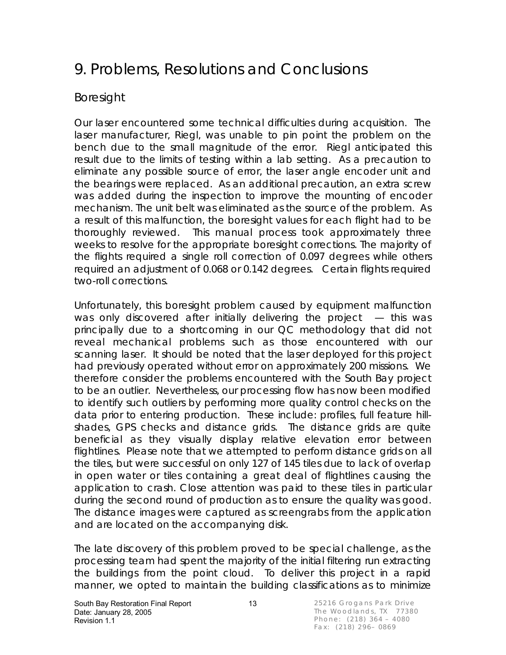## 9. Problems, Resolutions and Conclusions

### Boresight

Our laser encountered some technical difficulties during acquisition. The laser manufacturer, Riegl, was unable to pin point the problem on the bench due to the small magnitude of the error. Riegl anticipated this result due to the limits of testing within a lab setting. As a precaution to eliminate any possible source of error, the laser angle encoder unit and the bearings were replaced. As an additional precaution, an extra screw was added during the inspection to improve the mounting of encoder mechanism. The unit belt was eliminated as the source of the problem. As a result of this malfunction, the boresight values for each flight had to be thoroughly reviewed. This manual process took approximately three weeks to resolve for the appropriate boresight corrections. The majority of the flights required a single roll correction of 0.097 degrees while others required an adjustment of 0.068 or 0.142 degrees. Certain flights required two-roll corrections.

Unfortunately, this boresight problem caused by equipment malfunction was only discovered after initially delivering the project — this was principally due to a shortcoming in our QC methodology that did not reveal mechanical problems such as those encountered with our scanning laser. It should be noted that the laser deployed for this project had previously operated without error on approximately 200 missions. We therefore consider the problems encountered with the South Bay project to be an outlier. Nevertheless, our processing flow has now been modified to identify such outliers by performing more quality control checks on the data prior to entering production. These include: profiles, full feature hillshades, GPS checks and distance grids. The distance grids are quite beneficial as they visually display relative elevation error between flightlines. Please note that we attempted to perform distance grids on all the tiles, but were successful on only 127 of 145 tiles due to lack of overlap in open water or tiles containing a great deal of flightlines causing the application to crash. Close attention was paid to these tiles in particular during the second round of production as to ensure the quality was good. The distance images were captured as screengrabs from the application and are located on the accompanying disk.

The late discovery of this problem proved to be special challenge, as the processing team had spent the majority of the initial filtering run extracting the buildings from the point cloud. To deliver this project in a rapid manner, we opted to maintain the building classifications as to minimize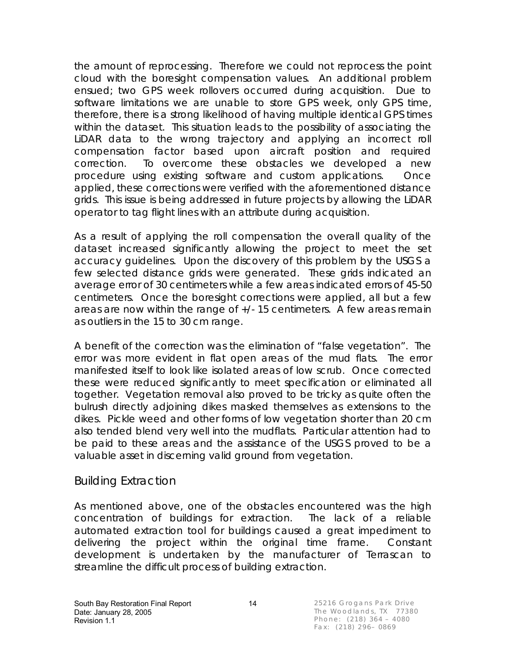the amount of reprocessing. Therefore we could not reprocess the point cloud with the boresight compensation values. An additional problem ensued; two GPS week rollovers occurred during acquisition. Due to software limitations we are unable to store GPS week, only GPS time, therefore, there is a strong likelihood of having multiple identical GPS times within the dataset. This situation leads to the possibility of associating the LiDAR data to the wrong trajectory and applying an incorrect roll compensation factor based upon aircraft position and required correction. To overcome these obstacles we developed a new procedure using existing software and custom applications. Once applied, these corrections were verified with the aforementioned distance grids. This issue is being addressed in future projects by allowing the LiDAR operator to tag flight lines with an attribute during acquisition.

As a result of applying the roll compensation the overall quality of the dataset increased significantly allowing the project to meet the set accuracy guidelines. Upon the discovery of this problem by the USGS a few selected distance grids were generated. These grids indicated an average error of 30 centimeters while a few areas indicated errors of 45-50 centimeters. Once the boresight corrections were applied, all but a few areas are now within the range of +/- 15 centimeters. A few areas remain as outliers in the 15 to 30 cm range.

A benefit of the correction was the elimination of "false vegetation". The error was more evident in flat open areas of the mud flats. The error manifested itself to look like isolated areas of low scrub. Once corrected these were reduced significantly to meet specification or eliminated all together. Vegetation removal also proved to be tricky as quite often the bulrush directly adjoining dikes masked themselves as extensions to the dikes. Pickle weed and other forms of low vegetation shorter than 20 cm also tended blend very well into the mudflats. Particular attention had to be paid to these areas and the assistance of the USGS proved to be a valuable asset in discerning valid ground from vegetation.

### Building Extraction

As mentioned above, one of the obstacles encountered was the high concentration of buildings for extraction. The lack of a reliable automated extraction tool for buildings caused a great impediment to delivering the project within the original time frame. Constant development is undertaken by the manufacturer of Terrascan to streamline the difficult process of building extraction.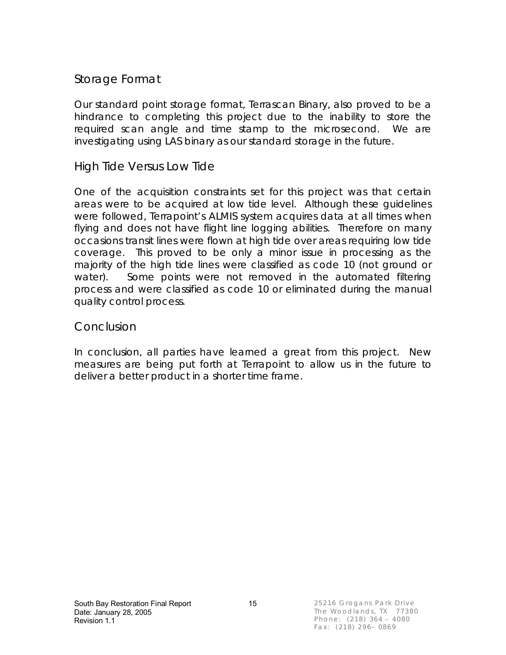### Storage Format

Our standard point storage format, Terrascan Binary, also proved to be a hindrance to completing this project due to the inability to store the required scan angle and time stamp to the microsecond. We are investigating using LAS binary as our standard storage in the future.

### High Tide Versus Low Tide

One of the acquisition constraints set for this project was that certain areas were to be acquired at low tide level. Although these guidelines were followed, Terrapoint's ALMIS system acquires data at all times when flying and does not have flight line logging abilities. Therefore on many occasions transit lines were flown at high tide over areas requiring low tide coverage. This proved to be only a minor issue in processing as the majority of the high tide lines were classified as code 10 (not ground or water). Some points were not removed in the automated filtering process and were classified as code 10 or eliminated during the manual quality control process.

### **Conclusion**

In conclusion, all parties have learned a great from this project. New measures are being put forth at Terrapoint to allow us in the future to deliver a better product in a shorter time frame.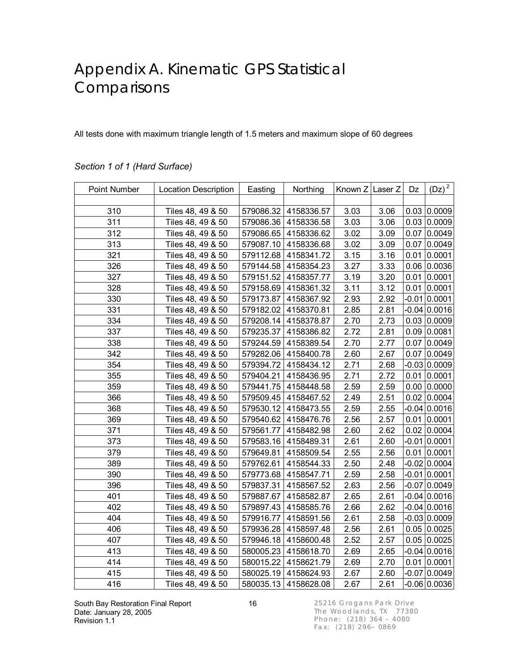## Appendix A. Kinematic GPS Statistical **Comparisons**

All tests done with maximum triangle length of 1.5 meters and maximum slope of 60 degrees

| Point Number | <b>Location Description</b> | Easting   | Northing   | Known Z Laser Z |      | Dz      | $(Dz)^2$        |
|--------------|-----------------------------|-----------|------------|-----------------|------|---------|-----------------|
|              |                             |           |            |                 |      |         |                 |
| 310          | Tiles 48, 49 & 50           | 579086.32 | 4158336.57 | 3.03            | 3.06 | 0.03    | 0.0009          |
| 311          | Tiles 48, 49 & 50           | 579086.36 | 4158336.58 | 3.03            | 3.06 | 0.03    | 0.0009          |
| 312          | Tiles 48, 49 & 50           | 579086.65 | 4158336.62 | 3.02            | 3.09 | 0.07    | 0.0049          |
| 313          | Tiles 48, 49 & 50           | 579087.10 | 4158336.68 | 3.02            | 3.09 | 0.07    | 0.0049          |
| 321          | Tiles 48, 49 & 50           | 579112.68 | 4158341.72 | 3.15            | 3.16 | 0.01    | 0.0001          |
| 326          | Tiles 48, 49 & 50           | 579144.58 | 4158354.23 | 3.27            | 3.33 | 0.06    | 0.0036          |
| 327          | Tiles 48, 49 & 50           | 579151.52 | 4158357.77 | 3.19            | 3.20 | 0.01    | 0.0001          |
| 328          | Tiles 48, 49 & 50           | 579158.69 | 4158361.32 | 3.11            | 3.12 | 0.01    | 0.0001          |
| 330          | Tiles 48, 49 & 50           | 579173.87 | 4158367.92 | 2.93            | 2.92 | $-0.01$ | 0.0001          |
| 331          | Tiles 48, 49 & 50           | 579182.02 | 4158370.81 | 2.85            | 2.81 |         | $-0.04 0.0016$  |
| 334          | Tiles 48, 49 & 50           | 579208.14 | 4158378.87 | 2.70            | 2.73 | 0.03    | 0.0009          |
| 337          | Tiles 48, 49 & 50           | 579235.37 | 4158386.82 | 2.72            | 2.81 | 0.09    | 0.0081          |
| 338          | Tiles 48, 49 & 50           | 579244.59 | 4158389.54 | 2.70            | 2.77 | 0.07    | 0.0049          |
| 342          | Tiles 48, 49 & 50           | 579282.06 | 4158400.78 | 2.60            | 2.67 | 0.07    | 0.0049          |
| 354          | Tiles 48, 49 & 50           | 579394.72 | 4158434.12 | 2.71            | 2.68 |         | $-0.03 0.0009$  |
| 355          | Tiles 48, 49 & 50           | 579404.21 | 4158436.95 | 2.71            | 2.72 | 0.01    | 0.0001          |
| 359          | Tiles 48, 49 & 50           | 579441.75 | 4158448.58 | 2.59            | 2.59 | 0.00    | 0.0000          |
| 366          | Tiles 48, 49 & 50           | 579509.45 | 4158467.52 | 2.49            | 2.51 | 0.02    | 0.0004          |
| 368          | Tiles 48, 49 & 50           | 579530.12 | 4158473.55 | 2.59            | 2.55 |         | $-0.04 0.0016$  |
| 369          | Tiles 48, 49 & 50           | 579540.62 | 4158476.76 | 2.56            | 2.57 | 0.01    | 0.0001          |
| 371          | Tiles 48, 49 & 50           | 579561.77 | 4158482.98 | 2.60            | 2.62 | 0.02    | 0.0004          |
| 373          | Tiles 48, 49 & 50           | 579583.16 | 4158489.31 | 2.61            | 2.60 |         | $-0.01 0.0001$  |
| 379          | Tiles 48, 49 & 50           | 579649.81 | 4158509.54 | 2.55            | 2.56 | 0.01    | 0.0001          |
| 389          | Tiles 48, 49 & 50           | 579762.61 | 4158544.33 | 2.50            | 2.48 |         | $-0.02 0.0004$  |
| 390          | Tiles 48, 49 & 50           | 579773.68 | 4158547.71 | 2.59            | 2.58 |         | $-0.01 0.0001$  |
| 396          | Tiles 48, 49 & 50           | 579837.31 | 4158567.52 | 2.63            | 2.56 |         | $-0.07 0.0049$  |
| 401          | Tiles 48, 49 & 50           | 579887.67 | 4158582.87 | 2.65            | 2.61 |         | $-0.04 0.0016$  |
| 402          | Tiles 48, 49 & 50           | 579897.43 | 4158585.76 | 2.66            | 2.62 |         | $-0.04 0.0016$  |
| 404          | Tiles 48, 49 & 50           | 579916.77 | 4158591.56 | 2.61            | 2.58 |         | $-0.03 0.0009$  |
| 406          | Tiles 48, 49 & 50           | 579936.28 | 4158597.48 | 2.56            | 2.61 |         | 0.05 0.0025     |
| 407          | Tiles 48, 49 & 50           | 579946.18 | 4158600.48 | 2.52            | 2.57 |         | 0.05 0.0025     |
| 413          | Tiles 48, 49 & 50           | 580005.23 | 4158618.70 | 2.69            | 2.65 |         | $-0.04 0.0016$  |
| 414          | Tiles 48, 49 & 50           | 580015.22 | 4158621.79 | 2.69            | 2.70 | 0.01    | 0.0001          |
| 415          | Tiles 48, 49 & 50           | 580025.19 | 4158624.93 | 2.67            | 2.60 |         | $-0.07 0.0049$  |
| 416          | Tiles 48, 49 & 50           | 580035.13 | 4158628.08 | 2.67            | 2.61 |         | $-0.06 0.0036 $ |

#### *Section 1 of 1 (Hard Surface)*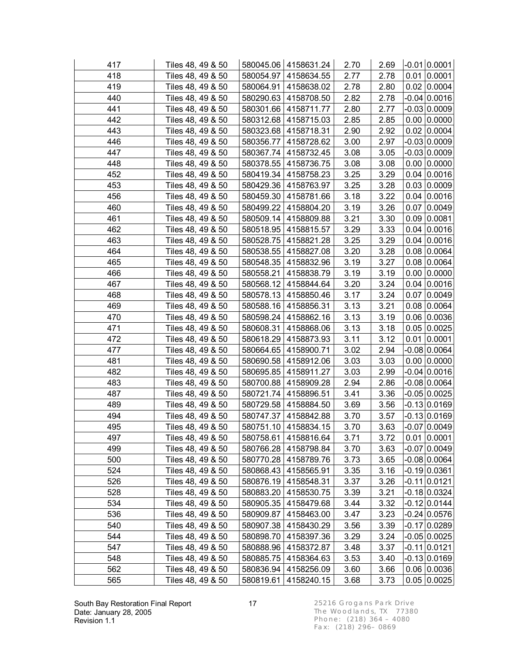| 417 | Tiles 48, 49 & 50 |           | 580045.06   4158631.24 | 2.70 | 2.69 | $-0.01$ 0.0001     |
|-----|-------------------|-----------|------------------------|------|------|--------------------|
| 418 | Tiles 48, 49 & 50 |           | 580054.97   4158634.55 | 2.77 | 2.78 | $0.01$ 0.0001      |
| 419 | Tiles 48, 49 & 50 |           | 580064.91   4158638.02 | 2.78 | 2.80 | 0.02   0.0004      |
| 440 | Tiles 48, 49 & 50 |           | 580290.63   4158708.50 | 2.82 | 2.78 | $-0.04 0.0016$     |
| 441 | Tiles 48, 49 & 50 | 580301.66 | 4158711.77             | 2.80 | 2.77 | -0.03 0.0009       |
| 442 | Tiles 48, 49 & 50 | 580312.68 | 4158715.03             | 2.85 | 2.85 | $0.00$ $ 0.0000$   |
| 443 | Tiles 48, 49 & 50 |           | 580323.68   4158718.31 | 2.90 | 2.92 | 0.02   0.0004      |
| 446 | Tiles 48, 49 & 50 | 580356.77 | 4158728.62             | 3.00 | 2.97 | -0.03 0.0009       |
| 447 | Tiles 48, 49 & 50 | 580367.74 | 4158732.45             | 3.08 | 3.05 | $-0.03 0.0009$     |
| 448 | Tiles 48, 49 & 50 | 580378.55 | 4158736.75             | 3.08 | 3.08 | $0.00$ 0.0000      |
| 452 | Tiles 48, 49 & 50 |           | 580419.34 4158758.23   | 3.25 | 3.29 | $0.04 \mid 0.0016$ |
| 453 | Tiles 48, 49 & 50 |           | 580429.36   4158763.97 | 3.25 | 3.28 | 0.03   0.0009      |
| 456 | Tiles 48, 49 & 50 |           | 580459.30   4158781.66 | 3.18 | 3.22 | $0.04 \mid 0.0016$ |
| 460 | Tiles 48, 49 & 50 | 580499.22 | 4158804.20             | 3.19 | 3.26 | $0.07$ 0.0049      |
| 461 | Tiles 48, 49 & 50 | 580509.14 | 4158809.88             | 3.21 | 3.30 | $0.09$ 0.0081      |
| 462 | Tiles 48, 49 & 50 |           | 580518.95   4158815.57 | 3.29 | 3.33 | $0.04 \mid 0.0016$ |
| 463 | Tiles 48, 49 & 50 |           | 580528.75   4158821.28 | 3.25 | 3.29 | $0.04 \mid 0.0016$ |
| 464 | Tiles 48, 49 & 50 | 580538.55 | 4158827.08             | 3.20 | 3.28 | $0.08 \mid 0.0064$ |
| 465 | Tiles 48, 49 & 50 |           | 580548.35   4158832.96 | 3.19 | 3.27 | $0.08 \mid 0.0064$ |
| 466 | Tiles 48, 49 & 50 | 580558.21 | 4158838.79             | 3.19 | 3.19 | $0.00$ 0.0000      |
| 467 | Tiles 48, 49 & 50 |           | 580568.12 4158844.64   | 3.20 | 3.24 | 0.04 0.0016        |
| 468 | Tiles 48, 49 & 50 |           | 580578.13 4158850.46   | 3.17 | 3.24 | 0.07 0.0049        |
| 469 | Tiles 48, 49 & 50 |           | 580588.16   4158856.31 | 3.13 | 3.21 | $0.08$ 0.0064      |
| 470 | Tiles 48, 49 & 50 | 580598.24 | 4158862.16             | 3.13 | 3.19 | 0.06 0.0036        |
| 471 | Tiles 48, 49 & 50 | 580608.31 | 4158868.06             | 3.13 | 3.18 | 0.05 0.0025        |
| 472 | Tiles 48, 49 & 50 |           | 580618.29 4158873.93   | 3.11 | 3.12 | 0.01   0.0001      |
| 477 | Tiles 48, 49 & 50 | 580664.65 | 4158900.71             | 3.02 | 2.94 | $-0.08$ 0.0064     |
| 481 | Tiles 48, 49 & 50 |           | 580690.58   4158912.06 | 3.03 | 3.03 | $0.00$ 0.0000      |
| 482 | Tiles 48, 49 & 50 | 580695.85 | 4158911.27             | 3.03 | 2.99 | $-0.04 0.0016$     |
| 483 | Tiles 48, 49 & 50 |           | 580700.88   4158909.28 | 2.94 | 2.86 | $-0.08$ 0.0064     |
| 487 | Tiles 48, 49 & 50 |           | 580721.74 4158896.51   | 3.41 | 3.36 | $-0.05 0.0025$     |
| 489 | Tiles 48, 49 & 50 | 580729.58 | 4158884.50             | 3.69 | 3.56 | $-0.13 0.0169 $    |
| 494 | Tiles 48, 49 & 50 |           | 580747.37   4158842.88 | 3.70 | 3.57 | $-0.13 0.0169$     |
| 495 | Tiles 48, 49 & 50 |           | 580751.10 4158834.15   | 3.70 | 3.63 | $-0.07$ 0.0049     |
| 497 | Tiles 48, 49 & 50 |           | 580758.61 4158816.64   | 3.71 | 3.72 | $0.01$ 0.0001      |
| 499 | Tiles 48, 49 & 50 | 580766.28 | 4158798.84             | 3.70 | 3.63 | $-0.07 0.0049$     |
| 500 | Tiles 48, 49 & 50 | 580770.28 | 4158789.76             | 3.73 | 3.65 | $-0.08$ 0.0064     |
| 524 | Tiles 48, 49 & 50 | 580868.43 | 4158565.91             | 3.35 | 3.16 | -0.19 0.0361       |
| 526 | Tiles 48, 49 & 50 | 580876.19 | 4158548.31             | 3.37 | 3.26 | -0.11 0.0121       |
| 528 | Tiles 48, 49 & 50 | 580883.20 | 4158530.75             | 3.39 | 3.21 | $-0.18$ 0.0324     |
| 534 | Tiles 48, 49 & 50 | 580905.35 | 4158479.68             | 3.44 | 3.32 | $-0.12 0.0144$     |
| 536 | Tiles 48, 49 & 50 | 580909.87 | 4158463.00             | 3.47 | 3.23 | $-0.24$ 0.0576     |
| 540 | Tiles 48, 49 & 50 | 580907.38 | 4158430.29             | 3.56 | 3.39 | $-0.17 0.0289$     |
| 544 | Tiles 48, 49 & 50 | 580898.70 | 4158397.36             | 3.29 | 3.24 | -0.05 0.0025       |
| 547 | Tiles 48, 49 & 50 | 580888.96 | 4158372.87             | 3.48 | 3.37 | $-0.11 0.0121$     |
| 548 | Tiles 48, 49 & 50 | 580885.75 | 4158364.63             | 3.53 | 3.40 | $-0.13 0.0169$     |
| 562 | Tiles 48, 49 & 50 | 580836.94 | 4158256.09             | 3.60 | 3.66 | 0.06 0.0036        |
| 565 | Tiles 48, 49 & 50 | 580819.61 | 4158240.15             | 3.68 | 3.73 | 0.05   0.0025      |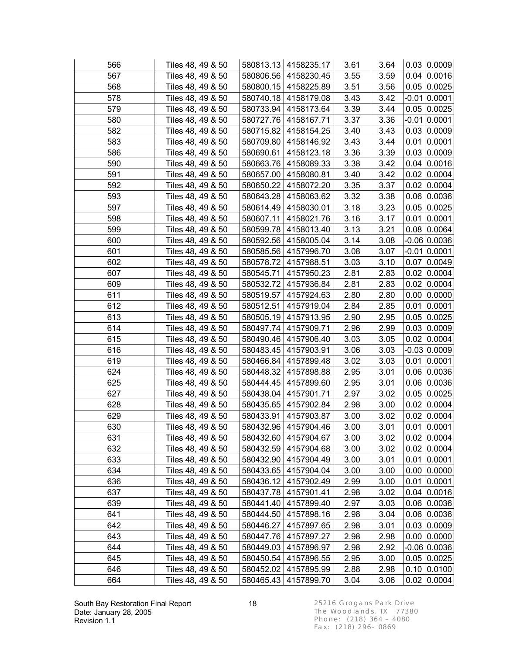| 566 | Tiles 48, 49 & 50 |           | 580813.13   4158235.17 | 3.61 | 3.64 |      | 0.03   0.0009      |
|-----|-------------------|-----------|------------------------|------|------|------|--------------------|
| 567 | Tiles 48, 49 & 50 |           | 580806.56   4158230.45 | 3.55 | 3.59 |      | 0.04 0.0016        |
| 568 | Tiles 48, 49 & 50 |           | 580800.15   4158225.89 | 3.51 | 3.56 |      | 0.05 0.0025        |
| 578 | Tiles 48, 49 & 50 |           | 580740.18   4158179.08 | 3.43 | 3.42 |      | $-0.01$ 0.0001     |
| 579 | Tiles 48, 49 & 50 | 580733.94 | 4158173.64             | 3.39 | 3.44 |      | 0.05 0.0025        |
| 580 | Tiles 48, 49 & 50 | 580727.76 | 4158167.71             | 3.37 | 3.36 |      | $-0.01$ 0.0001     |
| 582 | Tiles 48, 49 & 50 |           | 580715.82   4158154.25 | 3.40 | 3.43 |      | 0.03   0.0009      |
| 583 | Tiles 48, 49 & 50 |           | 580709.80 4158146.92   | 3.43 | 3.44 |      | $0.01$ 0.0001      |
| 586 | Tiles 48, 49 & 50 |           | 580690.61   4158123.18 | 3.36 | 3.39 |      | 0.03   0.0009      |
| 590 | Tiles 48, 49 & 50 | 580663.76 | 4158089.33             | 3.38 | 3.42 |      | 0.04 0.0016        |
| 591 | Tiles 48, 49 & 50 |           | 580657.00 4158080.81   | 3.40 | 3.42 |      | $0.02$ 0.0004      |
| 592 | Tiles 48, 49 & 50 |           | 580650.22   4158072.20 | 3.35 | 3.37 |      | 0.02   0.0004      |
| 593 | Tiles 48, 49 & 50 | 580643.28 | 4158063.62             | 3.32 | 3.38 |      | 0.06 0.0036        |
| 597 | Tiles 48, 49 & 50 | 580614.49 | 4158030.01             | 3.18 | 3.23 |      | 0.05 0.0025        |
| 598 | Tiles 48, 49 & 50 | 580607.11 | 4158021.76             | 3.16 | 3.17 |      | $0.01$ 0.0001      |
| 599 | Tiles 48, 49 & 50 |           | 580599.78 4158013.40   | 3.13 | 3.21 |      | $0.08 \mid 0.0064$ |
| 600 | Tiles 48, 49 & 50 |           | 580592.56 4158005.04   | 3.14 | 3.08 |      | $-0.06$ 0.0036     |
| 601 | Tiles 48, 49 & 50 |           | 580585.56   4157996.70 | 3.08 | 3.07 |      | $-0.01$ 0.0001     |
| 602 | Tiles 48, 49 & 50 | 580578.72 | 4157988.51             | 3.03 | 3.10 |      | $0.07$ 0.0049      |
| 607 | Tiles 48, 49 & 50 | 580545.71 | 4157950.23             | 2.81 | 2.83 |      | 0.02   0.0004      |
| 609 | Tiles 48, 49 & 50 |           | 580532.72 4157936.84   | 2.81 | 2.83 |      | 0.02   0.0004      |
| 611 | Tiles 48, 49 & 50 |           | 580519.57 4157924.63   | 2.80 | 2.80 |      | $0.00$ 0.0000      |
| 612 | Tiles 48, 49 & 50 |           | 580512.51   4157919.04 | 2.84 | 2.85 |      | $0.01$ 0.0001      |
| 613 | Tiles 48, 49 & 50 | 580505.19 | 4157913.95             | 2.90 | 2.95 |      | 0.05 0.0025        |
| 614 | Tiles 48, 49 & 50 | 580497.74 | 4157909.71             | 2.96 | 2.99 |      | 0.03 0.0009        |
| 615 | Tiles 48, 49 & 50 |           | 580490.46   4157906.40 | 3.03 | 3.05 |      | 0.02   0.0004      |
| 616 | Tiles 48, 49 & 50 | 580483.45 | 4157903.91             | 3.06 | 3.03 |      | -0.03 0.0009       |
| 619 | Tiles 48, 49 & 50 |           | 580466.84   4157899.48 | 3.02 | 3.03 |      | $0.01$ 0.0001      |
| 624 | Tiles 48, 49 & 50 | 580448.32 | 4157898.88             | 2.95 | 3.01 |      | 0.06 0.0036        |
| 625 | Tiles 48, 49 & 50 |           | 580444.45   4157899.60 | 2.95 | 3.01 |      | 0.06 0.0036        |
| 627 | Tiles 48, 49 & 50 |           | 580438.04 4157901.71   | 2.97 | 3.02 |      | 0.05 0.0025        |
| 628 | Tiles 48, 49 & 50 | 580435.65 | 4157902.84             | 2.98 | 3.00 |      | 0.02   0.0004      |
| 629 | Tiles 48, 49 & 50 |           | 580433.91 4157903.87   | 3.00 | 3.02 |      | 0.02   0.0004      |
| 630 | Tiles 48, 49 & 50 |           | 580432.96 4157904.46   | 3.00 | 3.01 |      | $0.01$ 0.0001      |
| 631 | Tiles 48, 49 & 50 |           | 580432.60   4157904.67 | 3.00 | 3.02 |      | $0.02$ 0.0004      |
| 632 | Tiles 48, 49 & 50 | 580432.59 | 4157904.68             | 3.00 | 3.02 |      | $0.02$ 0.0004      |
| 633 | Tiles 48, 49 & 50 | 580432.90 | 4157904.49             | 3.00 | 3.01 |      | $0.01$ 0.0001      |
| 634 | Tiles 48, 49 & 50 | 580433.65 | 4157904.04             | 3.00 | 3.00 |      | $0.00$ $ 0.0000$   |
| 636 | Tiles 48, 49 & 50 | 580436.12 | 4157902.49             | 2.99 | 3.00 |      | $0.01$ 0.0001      |
| 637 | Tiles 48, 49 & 50 | 580437.78 | 4157901.41             | 2.98 | 3.02 |      | 0.04   0.0016      |
| 639 | Tiles 48, 49 & 50 | 580441.40 | 4157899.40             | 2.97 | 3.03 |      | $0.06$ 0.0036      |
| 641 | Tiles 48, 49 & 50 | 580444.50 | 4157898.16             | 2.98 | 3.04 |      | $0.06$ 0.0036      |
| 642 | Tiles 48, 49 & 50 | 580446.27 | 4157897.65             | 2.98 | 3.01 |      | 0.03   0.0009      |
| 643 | Tiles 48, 49 & 50 | 580447.76 | 4157897.27             | 2.98 | 2.98 | 0.00 | 0.0000             |
| 644 | Tiles 48, 49 & 50 | 580449.03 | 4157896.97             | 2.98 | 2.92 |      | $-0.06 0.0036$     |
| 645 | Tiles 48, 49 & 50 | 580450.54 | 4157896.55             | 2.95 | 3.00 |      | 0.05   0.0025      |
| 646 | Tiles 48, 49 & 50 | 580452.02 | 4157895.99             | 2.88 | 2.98 |      | $0.10$ 0.0100      |
| 664 | Tiles 48, 49 & 50 |           | 580465.43 4157899.70   | 3.04 | 3.06 |      | $0.02$ 0.0004      |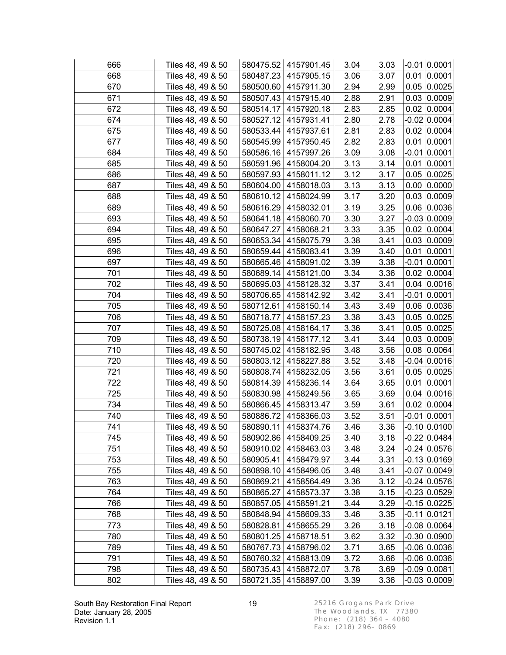| 666 | Tiles 48, 49 & 50 |           | 580475.52 4157901.45   | 3.04 | 3.03 | $-0.01$ 0.0001      |
|-----|-------------------|-----------|------------------------|------|------|---------------------|
| 668 | Tiles 48, 49 & 50 |           | 580487.23   4157905.15 | 3.06 | 3.07 | $0.01$ 0.0001       |
| 670 | Tiles 48, 49 & 50 |           | 580500.60   4157911.30 | 2.94 | 2.99 | 0.05 0.0025         |
| 671 | Tiles 48, 49 & 50 |           | 580507.43   4157915.40 | 2.88 | 2.91 | 0.03   0.0009       |
| 672 | Tiles 48, 49 & 50 | 580514.17 | 4157920.18             | 2.83 | 2.85 | 0.02   0.0004       |
| 674 | Tiles 48, 49 & 50 |           | 580527.12 4157931.41   | 2.80 | 2.78 | $-0.02 0.0004$      |
| 675 | Tiles 48, 49 & 50 |           | 580533.44 4157937.61   | 2.81 | 2.83 | 0.02   0.0004       |
| 677 | Tiles 48, 49 & 50 |           | 580545.99   4157950.45 | 2.82 | 2.83 | $0.01$ 0.0001       |
| 684 | Tiles 48, 49 & 50 |           | 580586.16 4157997.26   | 3.09 | 3.08 | $-0.01 0.0001$      |
| 685 | Tiles 48, 49 & 50 | 580591.96 | 4158004.20             | 3.13 | 3.14 | $0.01$ 0.0001       |
| 686 | Tiles 48, 49 & 50 |           | 580597.93   4158011.12 | 3.12 | 3.17 | 0.05 0.0025         |
| 687 | Tiles 48, 49 & 50 |           | 580604.00   4158018.03 | 3.13 | 3.13 | $0.00$ 0.0000       |
| 688 | Tiles 48, 49 & 50 |           | 580610.12   4158024.99 | 3.17 | 3.20 | 0.03   0.0009       |
| 689 | Tiles 48, 49 & 50 | 580616.29 | 4158032.01             | 3.19 | 3.25 | 0.06 0.0036         |
| 693 | Tiles 48, 49 & 50 | 580641.18 | 4158060.70             | 3.30 | 3.27 | -0.03 0.0009        |
| 694 | Tiles 48, 49 & 50 |           | 580647.27 4158068.21   | 3.33 | 3.35 | $0.02$ 0.0004       |
| 695 | Tiles 48, 49 & 50 |           | 580653.34 4158075.79   | 3.38 | 3.41 | 0.03   0.0009       |
| 696 | Tiles 48, 49 & 50 |           | 580659.44   4158083.41 | 3.39 | 3.40 | $0.01$ 0.0001       |
| 697 | Tiles 48, 49 & 50 |           | 580665.46   4158091.02 | 3.39 | 3.38 | $-0.01 0.0001$      |
| 701 | Tiles 48, 49 & 50 | 580689.14 | 4158121.00             | 3.34 | 3.36 | $0.02$ 0.0004       |
| 702 | Tiles 48, 49 & 50 |           | 580695.03   4158128.32 | 3.37 | 3.41 | $0.04 \mid 0.0016$  |
| 704 | Tiles 48, 49 & 50 |           | 580706.65   4158142.92 | 3.42 | 3.41 | $-0.01$ 0.0001      |
| 705 | Tiles 48, 49 & 50 |           | 580712.61   4158150.14 | 3.43 | 3.49 | $0.06$ 0.0036       |
| 706 | Tiles 48, 49 & 50 | 580718.77 | 4158157.23             | 3.38 | 3.43 | 0.05 0.0025         |
| 707 | Tiles 48, 49 & 50 | 580725.08 | 4158164.17             | 3.36 | 3.41 | 0.05 0.0025         |
| 709 | Tiles 48, 49 & 50 |           | 580738.19 4158177.12   | 3.41 | 3.44 | 0.03   0.0009       |
| 710 | Tiles 48, 49 & 50 |           | 580745.02 4158182.95   | 3.48 | 3.56 | 0.08 0.0064         |
| 720 | Tiles 48, 49 & 50 |           | 580803.12 4158227.88   | 3.52 | 3.48 | $-0.04 0.0016$      |
| 721 | Tiles 48, 49 & 50 |           | 580808.74   4158232.05 | 3.56 | 3.61 | 0.05 0.0025         |
| 722 | Tiles 48, 49 & 50 |           | 580814.39 4158236.14   | 3.64 | 3.65 | $0.01$ 0.0001       |
| 725 | Tiles 48, 49 & 50 |           | 580830.98   4158249.56 | 3.65 | 3.69 | 0.04   0.0016       |
| 734 | Tiles 48, 49 & 50 | 580866.45 | 4158313.47             | 3.59 | 3.61 | 0.02   0.0004       |
| 740 | Tiles 48, 49 & 50 |           | 580886.72 4158366.03   | 3.52 | 3.51 | $-0.01$ 0.0001      |
| 741 | Tiles 48, 49 & 50 |           | 580890.11 4158374.76   | 3.46 | 3.36 | $-0.10 0.0100 $     |
| 745 | Tiles 48, 49 & 50 |           | 580902.86   4158409.25 | 3.40 | 3.18 | $-0.22$ 0.0484      |
| 751 | Tiles 48, 49 & 50 | 580910.02 | 4158463.03             | 3.48 | 3.24 | $-0.24 0.0576$      |
| 753 | Tiles 48, 49 & 50 | 580905.41 | 4158479.97             | 3.44 | 3.31 | $-0.13 0.0169$      |
| 755 | Tiles 48, 49 & 50 | 580898.10 | 4158496.05             | 3.48 | 3.41 | -0.07 0.0049        |
| 763 | Tiles 48, 49 & 50 | 580869.21 | 4158564.49             | 3.36 | 3.12 | -0.24 0.0576        |
| 764 | Tiles 48, 49 & 50 | 580865.27 | 4158573.37             | 3.38 | 3.15 | $-0.23 \mid 0.0529$ |
| 766 | Tiles 48, 49 & 50 | 580857.05 | 4158591.21             | 3.44 | 3.29 | $-0.15 0.0225$      |
| 768 | Tiles 48, 49 & 50 | 580848.94 | 4158609.33             | 3.46 | 3.35 | $-0.11 0.0121$      |
| 773 | Tiles 48, 49 & 50 | 580828.81 | 4158655.29             | 3.26 | 3.18 | $-0.08$ 0.0064      |
| 780 | Tiles 48, 49 & 50 | 580801.25 | 4158718.51             | 3.62 | 3.32 | -0.30 0.0900        |
| 789 | Tiles 48, 49 & 50 | 580767.73 | 4158796.02             | 3.71 | 3.65 | $-0.06 0.0036$      |
| 791 | Tiles 48, 49 & 50 | 580760.32 | 4158813.09             | 3.72 | 3.66 | $-0.06 0.0036$      |
| 798 | Tiles 48, 49 & 50 | 580735.43 | 4158872.07             | 3.78 | 3.69 | $-0.09$ 0.0081      |
| 802 | Tiles 48, 49 & 50 |           | 580721.35 4158897.00   | 3.39 | 3.36 | $-0.03 0.0009 $     |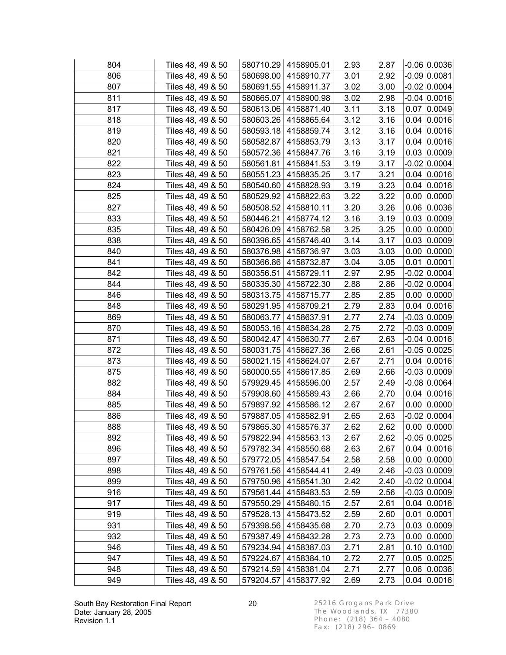| 804 | Tiles 48, 49 & 50 |           | 580710.29 4158905.01   | 2.93 | 2.87 |      | $-0.06$ 0.0036     |
|-----|-------------------|-----------|------------------------|------|------|------|--------------------|
| 806 | Tiles 48, 49 & 50 |           | 580698.00   4158910.77 | 3.01 | 2.92 |      | $-0.09$ 0.0081     |
| 807 | Tiles 48, 49 & 50 |           | 580691.55   4158911.37 | 3.02 | 3.00 |      | $-0.02$ 0.0004     |
| 811 | Tiles 48, 49 & 50 |           | 580665.07   4158900.98 | 3.02 | 2.98 |      | $-0.04 0.0016$     |
| 817 | Tiles 48, 49 & 50 | 580613.06 | 4158871.40             | 3.11 | 3.18 |      | 0.07 0.0049        |
| 818 | Tiles 48, 49 & 50 | 580603.26 | 4158865.64             | 3.12 | 3.16 |      | 0.04 0.0016        |
| 819 | Tiles 48, 49 & 50 |           | 580593.18 4158859.74   | 3.12 | 3.16 |      | $0.04 \mid 0.0016$ |
| 820 | Tiles 48, 49 & 50 | 580582.87 | 4158853.79             | 3.13 | 3.17 |      | 0.04 0.0016        |
| 821 | Tiles 48, 49 & 50 |           | 580572.36   4158847.76 | 3.16 | 3.19 |      | 0.03   0.0009      |
| 822 | Tiles 48, 49 & 50 | 580561.81 | 4158841.53             | 3.19 | 3.17 |      | $-0.02 0.0004$     |
| 823 | Tiles 48, 49 & 50 |           | 580551.23 4158835.25   | 3.17 | 3.21 |      | $0.04 \mid 0.0016$ |
| 824 | Tiles 48, 49 & 50 |           | 580540.60   4158828.93 | 3.19 | 3.23 |      | $0.04 \mid 0.0016$ |
| 825 | Tiles 48, 49 & 50 |           | 580529.92   4158822.63 | 3.22 | 3.22 |      | $0.00$ $ 0.0000$   |
| 827 | Tiles 48, 49 & 50 | 580508.52 | 4158810.11             | 3.20 | 3.26 |      | 0.06 0.0036        |
| 833 | Tiles 48, 49 & 50 | 580446.21 | 4158774.12             | 3.16 | 3.19 |      | 0.03 0.0009        |
| 835 | Tiles 48, 49 & 50 |           | 580426.09   4158762.58 | 3.25 | 3.25 |      | $0.00$ 0.0000      |
| 838 | Tiles 48, 49 & 50 |           | 580396.65   4158746.40 | 3.14 | 3.17 |      | 0.03 0.0009        |
| 840 | Tiles 48, 49 & 50 | 580376.98 | 4158736.97             | 3.03 | 3.03 |      | $0.00$ $ 0.0000$   |
| 841 | Tiles 48, 49 & 50 | 580366.86 | 4158732.87             | 3.04 | 3.05 |      | $0.01$ 0.0001      |
| 842 | Tiles 48, 49 & 50 | 580356.51 | 4158729.11             | 2.97 | 2.95 |      | -0.02 0.0004       |
| 844 | Tiles 48, 49 & 50 |           | 580335.30 4158722.30   | 2.88 | 2.86 |      | $-0.02 0.0004$     |
| 846 | Tiles 48, 49 & 50 |           | 580313.75 4158715.77   | 2.85 | 2.85 |      | $0.00$ 0.0000      |
| 848 | Tiles 48, 49 & 50 | 580291.95 | 4158709.21             | 2.79 | 2.83 |      | $0.04 \mid 0.0016$ |
| 869 | Tiles 48, 49 & 50 | 580063.77 | 4158637.91             | 2.77 | 2.74 |      | $-0.03 0.0009$     |
| 870 | Tiles 48, 49 & 50 | 580053.16 | 4158634.28             | 2.75 | 2.72 |      | $-0.03 0.0009$     |
| 871 | Tiles 48, 49 & 50 |           | 580042.47   4158630.77 | 2.67 | 2.63 |      | $-0.04 0.0016$     |
| 872 | Tiles 48, 49 & 50 | 580031.75 | 4158627.36             | 2.66 | 2.61 |      | $-0.05 0.0025$     |
| 873 | Tiles 48, 49 & 50 |           | 580021.15   4158624.07 | 2.67 | 2.71 |      | $0.04 \mid 0.0016$ |
| 875 | Tiles 48, 49 & 50 | 580000.55 | 4158617.85             | 2.69 | 2.66 |      | $-0.03 0.0009$     |
| 882 | Tiles 48, 49 & 50 |           | 579929.45   4158596.00 | 2.57 | 2.49 |      | $-0.08$ 0.0064     |
| 884 | Tiles 48, 49 & 50 |           | 579908.60   4158589.43 | 2.66 | 2.70 |      | 0.04 0.0016        |
| 885 | Tiles 48, 49 & 50 | 579897.92 | 4158586.12             | 2.67 | 2.67 |      | $0.00$ 0.0000      |
| 886 | Tiles 48, 49 & 50 |           | 579887.05   4158582.91 | 2.65 | 2.63 |      | $-0.02 0.0004$     |
| 888 | Tiles 48, 49 & 50 |           | 579865.30 4158576.37   | 2.62 | 2.62 |      | 0.00   0.0000      |
| 892 | Tiles 48, 49 & 50 |           | 579822.94   4158563.13 | 2.67 | 2.62 |      | $-0.05 0.0025$     |
| 896 | Tiles 48, 49 & 50 | 579782.34 | 4158550.68             | 2.63 | 2.67 |      | 0.04   0.0016      |
| 897 | Tiles 48, 49 & 50 | 579772.05 | 4158547.54             | 2.58 | 2.58 |      | $0.00$ $ 0.0000$   |
| 898 | Tiles 48, 49 & 50 | 579761.56 | 4158544.41             | 2.49 | 2.46 |      | -0.03 0.0009       |
| 899 | Tiles 48, 49 & 50 | 579750.96 | 4158541.30             | 2.42 | 2.40 |      | $-0.02 0.0004$     |
| 916 | Tiles 48, 49 & 50 | 579561.44 | 4158483.53             | 2.59 | 2.56 |      | $-0.03 0.0009$     |
| 917 | Tiles 48, 49 & 50 | 579550.29 | 4158480.15             | 2.57 | 2.61 |      | $0.04 \mid 0.0016$ |
| 919 | Tiles 48, 49 & 50 | 579528.13 | 4158473.52             | 2.59 | 2.60 |      | $0.01$ 0.0001      |
| 931 | Tiles 48, 49 & 50 | 579398.56 | 4158435.68             | 2.70 | 2.73 |      | 0.03   0.0009      |
| 932 | Tiles 48, 49 & 50 | 579387.49 | 4158432.28             | 2.73 | 2.73 | 0.00 | 0.0000             |
| 946 | Tiles 48, 49 & 50 | 579234.94 | 4158387.03             | 2.71 | 2.81 |      | $0.10$ 0.0100      |
| 947 | Tiles 48, 49 & 50 | 579224.67 | 4158384.10             | 2.72 | 2.77 |      | 0.05   0.0025      |
| 948 | Tiles 48, 49 & 50 | 579214.59 | 4158381.04             | 2.71 | 2.77 |      | 0.06 0.0036        |
| 949 | Tiles 48, 49 & 50 | 579204.57 | 4158377.92             | 2.69 | 2.73 |      | 0.04   0.0016      |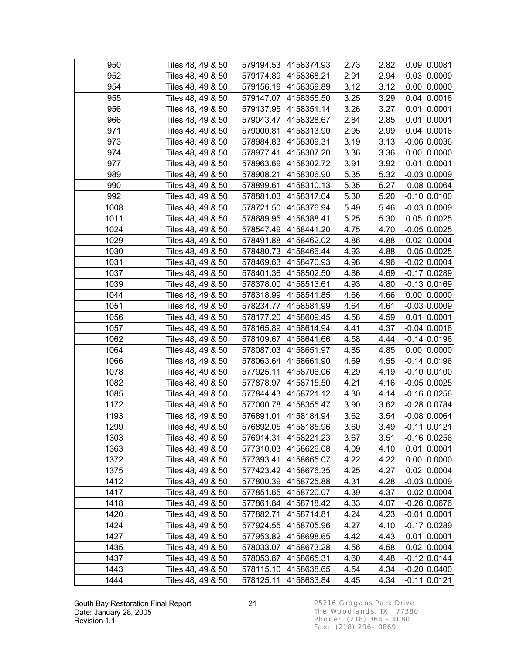| 950  | Tiles 48, 49 & 50 |           | 579194.53   4158374.93 | 2.73 | 2.82 | $0.09$ 0.0081      |
|------|-------------------|-----------|------------------------|------|------|--------------------|
| 952  | Tiles 48, 49 & 50 |           | 579174.89   4158368.21 | 2.91 | 2.94 | 0.03   0.0009      |
| 954  | Tiles 48, 49 & 50 |           | 579156.19 4158359.89   | 3.12 | 3.12 | $0.00$ 0.0000      |
| 955  | Tiles 48, 49 & 50 |           | 579147.07   4158355.50 | 3.25 | 3.29 | $0.04 \mid 0.0016$ |
| 956  | Tiles 48, 49 & 50 | 579137.95 | 4158351.14             | 3.26 | 3.27 | $0.01$ 0.0001      |
| 966  | Tiles 48, 49 & 50 | 579043.47 | 4158328.67             | 2.84 | 2.85 | $0.01$ 0.0001      |
| 971  | Tiles 48, 49 & 50 |           | 579000.81   4158313.90 | 2.95 | 2.99 | $0.04 \mid 0.0016$ |
| 973  | Tiles 48, 49 & 50 | 578984.83 | 4158309.31             | 3.19 | 3.13 | -0.06 0.0036       |
| 974  | Tiles 48, 49 & 50 | 578977.41 | 4158307.20             | 3.36 | 3.36 | $0.00$ 0.0000      |
| 977  | Tiles 48, 49 & 50 | 578963.69 | 4158302.72             | 3.91 | 3.92 | $0.01$ 0.0001      |
| 989  | Tiles 48, 49 & 50 |           | 578908.21   4158306.90 | 5.35 | 5.32 | $-0.03 0.0009$     |
| 990  | Tiles 48, 49 & 50 |           | 578899.61   4158310.13 | 5.35 | 5.27 | $-0.08$ 0.0064     |
| 992  | Tiles 48, 49 & 50 | 578881.03 | 4158317.04             | 5.30 | 5.20 | $-0.10 0.0100$     |
| 1008 | Tiles 48, 49 & 50 | 578721.50 | 4158376.94             | 5.49 | 5.46 | -0.03 0.0009       |
| 1011 | Tiles 48, 49 & 50 | 578689.95 | 4158388.41             | 5.25 | 5.30 | 0.05 0.0025        |
| 1024 | Tiles 48, 49 & 50 | 578547.49 | 4158441.20             | 4.75 | 4.70 | $-0.05 0.0025$     |
| 1029 | Tiles 48, 49 & 50 |           | 578491.88 4158462.02   | 4.86 | 4.88 | $0.02$ 0.0004      |
| 1030 | Tiles 48, 49 & 50 | 578480.73 | 4158466.44             | 4.93 | 4.88 | $-0.05 0.0025$     |
| 1031 | Tiles 48, 49 & 50 | 578469.63 | 4158470.93             | 4.98 | 4.96 | -0.02 0.0004       |
| 1037 | Tiles 48, 49 & 50 | 578401.36 | 4158502.50             | 4.86 | 4.69 | -0.17 0.0289       |
| 1039 | Tiles 48, 49 & 50 |           | 578378.00   4158513.61 | 4.93 | 4.80 | $-0.13 0.0169$     |
| 1044 | Tiles 48, 49 & 50 |           | 578318.99 4158541.85   | 4.66 | 4.66 | $0.00$ 0.0000      |
| 1051 | Tiles 48, 49 & 50 | 578234.77 | 4158581.99             | 4.64 | 4.61 | $-0.03 0.0009$     |
| 1056 | Tiles 48, 49 & 50 | 578177.20 | 4158609.45             | 4.58 | 4.59 | $0.01$ 0.0001      |
| 1057 | Tiles 48, 49 & 50 | 578165.89 | 4158614.94             | 4.41 | 4.37 | $-0.04 0.0016$     |
| 1062 | Tiles 48, 49 & 50 |           | 578109.67   4158641.66 | 4.58 | 4.44 | $-0.14 0.0196$     |
| 1064 | Tiles 48, 49 & 50 | 578087.03 | 4158651.97             | 4.85 | 4.85 | $0.00$ $ 0.0000$   |
| 1066 | Tiles 48, 49 & 50 |           | 578063.64   4158661.90 | 4.69 | 4.55 | $-0.14 0.0196$     |
| 1078 | Tiles 48, 49 & 50 | 577925.11 | 4158706.06             | 4.29 | 4.19 | $-0.10 0.0100$     |
| 1082 | Tiles 48, 49 & 50 |           | 577878.97   4158715.50 | 4.21 | 4.16 | $-0.05 0.0025$     |
| 1085 | Tiles 48, 49 & 50 |           | 577844.43 4158721.12   | 4.30 | 4.14 | $-0.16 0.0256$     |
| 1172 | Tiles 48, 49 & 50 | 577000.78 | 4158355.47             | 3.90 | 3.62 | $-0.28 0.0784$     |
| 1193 | Tiles 48, 49 & 50 |           | 576891.01 4158184.94   | 3.62 | 3.54 | $-0.08$ 0.0064     |
| 1299 | Tiles 48, 49 & 50 |           | 576892.05 4158185.96   | 3.60 | 3.49 | $-0.11 0.0121 $    |
| 1303 | Tiles 48, 49 & 50 |           | 576914.31 4158221.23   | 3.67 | 3.51 | $-0.16 0.0256$     |
| 1363 | Tiles 48, 49 & 50 | 577310.03 | 4158626.08             | 4.09 | 4.10 | $0.01$ 0.0001      |
| 1372 | Tiles 48, 49 & 50 | 577393.41 | 4158665.07             | 4.22 | 4.22 | $0.00$ $ 0.0000$   |
| 1375 | Tiles 48, 49 & 50 | 577423.42 | 4158676.35             | 4.25 | 4.27 | $0.02$ 0.0004      |
| 1412 | Tiles 48, 49 & 50 | 577800.39 | 4158725.88             | 4.31 | 4.28 | -0.03 0.0009       |
| 1417 | Tiles 48, 49 & 50 | 577851.65 | 4158720.07             | 4.39 | 4.37 | $-0.02$ 0.0004     |
| 1418 | Tiles 48, 49 & 50 | 577861.84 | 4158718.42             | 4.33 | 4.07 | $-0.26$ 0.0676     |
| 1420 | Tiles 48, 49 & 50 | 577882.71 | 4158714.81             | 4.24 | 4.23 | $-0.01$ 0.0001     |
| 1424 | Tiles 48, 49 & 50 | 577924.55 | 4158705.96             | 4.27 | 4.10 | $-0.17 0.0289$     |
| 1427 | Tiles 48, 49 & 50 | 577953.82 | 4158698.65             | 4.42 | 4.43 | $0.01$ 0.0001      |
| 1435 | Tiles 48, 49 & 50 | 578033.07 | 4158673.28             | 4.56 | 4.58 | 0.02   0.0004      |
| 1437 | Tiles 48, 49 & 50 | 578053.87 | 4158665.31             | 4.60 | 4.48 | $-0.12$ 0.0144     |
| 1443 | Tiles 48, 49 & 50 | 578115.10 | 4158638.65             | 4.54 | 4.34 | $-0.20 0.0400$     |
| 1444 | Tiles 48, 49 & 50 | 578125.11 | 4158633.84             | 4.45 | 4.34 | $-0.11 0.0121 $    |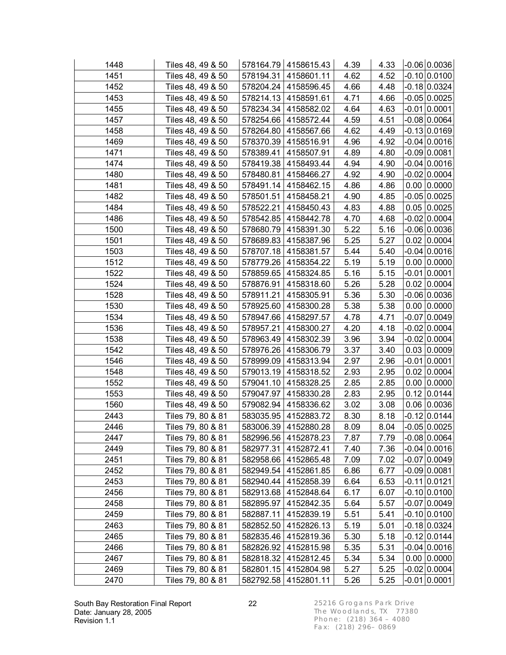| 1448 | Tiles 48, 49 & 50 |           | 578164.79   4158615.43 | 4.39 | 4.33 | $  -0.06   0.0036  $ |
|------|-------------------|-----------|------------------------|------|------|----------------------|
| 1451 | Tiles 48, 49 & 50 |           | 578194.31   4158601.11 | 4.62 | 4.52 | $-0.10 0.0100 $      |
| 1452 | Tiles 48, 49 & 50 |           | 578204.24   4158596.45 | 4.66 | 4.48 | $-0.18 0.0324$       |
| 1453 | Tiles 48, 49 & 50 |           | 578214.13   4158591.61 | 4.71 | 4.66 | $-0.05 0.0025$       |
| 1455 | Tiles 48, 49 & 50 | 578234.34 | 4158582.02             | 4.64 | 4.63 | $-0.01 0.0001$       |
| 1457 | Tiles 48, 49 & 50 | 578254.66 | 4158572.44             | 4.59 | 4.51 | $-0.08$ 0.0064       |
| 1458 | Tiles 48, 49 & 50 |           | 578264.80   4158567.66 | 4.62 | 4.49 | $-0.13 0.0169$       |
| 1469 | Tiles 48, 49 & 50 |           | 578370.39   4158516.91 | 4.96 | 4.92 | $-0.04 0.0016$       |
| 1471 | Tiles 48, 49 & 50 | 578389.41 | 4158507.91             | 4.89 | 4.80 | $-0.09$ 0.0081       |
| 1474 | Tiles 48, 49 & 50 | 578419.38 | 4158493.44             | 4.94 | 4.90 | $-0.04 0.0016$       |
| 1480 | Tiles 48, 49 & 50 |           | 578480.81   4158466.27 | 4.92 | 4.90 | $-0.02$ 0.0004       |
| 1481 | Tiles 48, 49 & 50 |           | 578491.14 4158462.15   | 4.86 | 4.86 | $0.00$ 0.0000        |
| 1482 | Tiles 48, 49 & 50 |           | 578501.51   4158458.21 | 4.90 | 4.85 | $-0.05 0.0025$       |
| 1484 | Tiles 48, 49 & 50 | 578522.21 | 4158450.43             | 4.83 | 4.88 | 0.05 0.0025          |
| 1486 | Tiles 48, 49 & 50 | 578542.85 | 4158442.78             | 4.70 | 4.68 | -0.02 0.0004         |
| 1500 | Tiles 48, 49 & 50 | 578680.79 | 4158391.30             | 5.22 | 5.16 | $-0.06 0.0036$       |
| 1501 | Tiles 48, 49 & 50 |           | 578689.83   4158387.96 | 5.25 | 5.27 | $0.02$ 0.0004        |
| 1503 | Tiles 48, 49 & 50 | 578707.18 | 4158381.57             | 5.44 | 5.40 | $-0.04 0.0016$       |
| 1512 | Tiles 48, 49 & 50 | 578779.26 | 4158354.22             | 5.19 | 5.19 | $0.00$ 0.0000        |
| 1522 | Tiles 48, 49 & 50 | 578859.65 | 4158324.85             | 5.16 | 5.15 | -0.01 0.0001         |
| 1524 | Tiles 48, 49 & 50 |           | 578876.91 4158318.60   | 5.26 | 5.28 | 0.02   0.0004        |
| 1528 | Tiles 48, 49 & 50 |           | 578911.21 4158305.91   | 5.36 | 5.30 | $-0.06 0.0036$       |
| 1530 | Tiles 48, 49 & 50 |           | 578925.60   4158300.28 | 5.38 | 5.38 | $0.00$ $ 0.0000$     |
| 1534 | Tiles 48, 49 & 50 | 578947.66 | 4158297.57             | 4.78 | 4.71 | $-0.07 0.0049$       |
| 1536 | Tiles 48, 49 & 50 | 578957.21 | 4158300.27             | 4.20 | 4.18 | $-0.02$ 0.0004       |
| 1538 | Tiles 48, 49 & 50 |           | 578963.49   4158302.39 | 3.96 | 3.94 | $-0.02 0.0004$       |
| 1542 | Tiles 48, 49 & 50 | 578976.26 | 4158306.79             | 3.37 | 3.40 | 0.03 0.0009          |
| 1546 | Tiles 48, 49 & 50 | 578999.09 | 4158313.94             | 2.97 | 2.96 | $-0.01 0.0001$       |
| 1548 | Tiles 48, 49 & 50 | 579013.19 | 4158318.52             | 2.93 | 2.95 | 0.02 0.0004          |
| 1552 | Tiles 48, 49 & 50 |           | 579041.10   4158328.25 | 2.85 | 2.85 | $0.00$ 0.0000        |
| 1553 | Tiles 48, 49 & 50 |           | 579047.97   4158330.28 | 2.83 | 2.95 | $0.12$ 0.0144        |
| 1560 | Tiles 48, 49 & 50 | 579082.94 | 4158336.62             | 3.02 | 3.08 | $0.06$ 0.0036        |
| 2443 | Tiles 79, 80 & 81 |           | 583035.95   4152883.72 | 8.30 | 8.18 | $-0.12 0.0144$       |
| 2446 | Tiles 79, 80 & 81 |           | 583006.39 4152880.28   | 8.09 | 8.04 | $-0.05 0.0025 $      |
| 2447 | Tiles 79, 80 & 81 |           | 582996.56   4152878.23 | 7.87 | 7.79 | $-0.08$ 0.0064       |
| 2449 | Tiles 79, 80 & 81 | 582977.31 | 4152872.41             | 7.40 | 7.36 | $-0.04$ 0.0016       |
| 2451 | Tiles 79, 80 & 81 | 582958.66 | 4152865.48             | 7.09 | 7.02 | $-0.07 0.0049$       |
| 2452 | Tiles 79, 80 & 81 | 582949.54 | 4152861.85             | 6.86 | 6.77 | -0.09 0.0081         |
| 2453 | Tiles 79, 80 & 81 | 582940.44 | 4152858.39             | 6.64 | 6.53 | -0.11 0.0121         |
| 2456 | Tiles 79, 80 & 81 | 582913.68 | 4152848.64             | 6.17 | 6.07 | $-0.10 0.0100$       |
| 2458 | Tiles 79, 80 & 81 | 582895.97 | 4152842.35             | 5.64 | 5.57 | $-0.07 0.0049$       |
| 2459 | Tiles 79, 80 & 81 | 582887.11 | 4152839.19             | 5.51 | 5.41 | $-0.10 0.0100$       |
| 2463 | Tiles 79, 80 & 81 | 582852.50 | 4152826.13             | 5.19 | 5.01 | $-0.18 0.0324$       |
| 2465 | Tiles 79, 80 & 81 | 582835.46 | 4152819.36             | 5.30 | 5.18 | $-0.12 0.0144$       |
| 2466 | Tiles 79, 80 & 81 | 582826.92 | 4152815.98             | 5.35 | 5.31 | $-0.04 0.0016$       |
| 2467 | Tiles 79, 80 & 81 | 582818.32 | 4152812.45             | 5.34 | 5.34 | 0.00   0.0000        |
| 2469 | Tiles 79, 80 & 81 |           | 582801.15   4152804.98 | 5.27 | 5.25 | $-0.02$ 0.0004       |
| 2470 | Tiles 79, 80 & 81 |           | 582792.58 4152801.11   | 5.26 | 5.25 | $-0.01 0.0001 $      |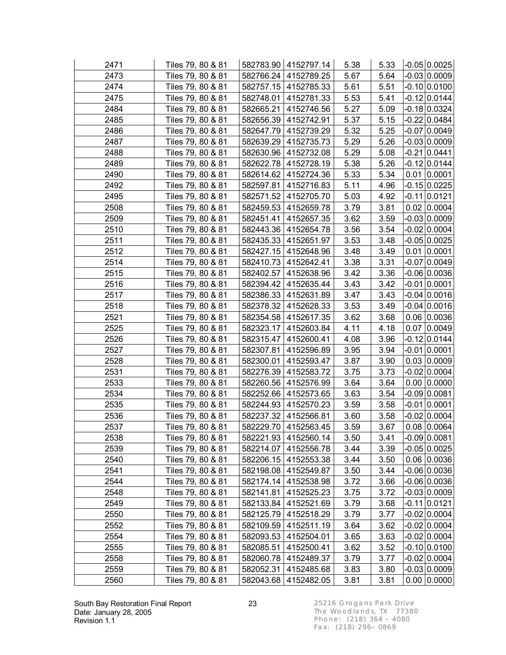| 2471 | Tiles 79, 80 & 81 |           | 582783.90 4152797.14   | 5.38 | 5.33 | $-0.05$ 0.0025    |  |
|------|-------------------|-----------|------------------------|------|------|-------------------|--|
| 2473 | Tiles 79, 80 & 81 |           | 582766.24   4152789.25 | 5.67 | 5.64 | $-0.03$ 0.0009    |  |
| 2474 | Tiles 79, 80 & 81 |           | 582757.15 4152785.33   | 5.61 | 5.51 | $-0.10 0.0100$    |  |
| 2475 | Tiles 79, 80 & 81 |           | 582748.01   4152781.33 | 5.53 | 5.41 | $-0.12$ 0.0144    |  |
| 2484 | Tiles 79, 80 & 81 |           | 582665.21 4152746.56   | 5.27 | 5.09 | $-0.18$ 0.0324    |  |
| 2485 | Tiles 79, 80 & 81 |           | 582656.39 4152742.91   | 5.37 | 5.15 | -0.22 0.0484      |  |
| 2486 | Tiles 79, 80 & 81 |           | 582647.79 4152739.29   | 5.32 | 5.25 | $-0.07$ 0.0049    |  |
| 2487 | Tiles 79, 80 & 81 |           | 582639.29   4152735.73 | 5.29 | 5.26 | $-0.03 0.0009$    |  |
| 2488 | Tiles 79, 80 & 81 |           | 582630.96   4152732.08 | 5.29 | 5.08 | $-0.21$ 0.0441    |  |
| 2489 | Tiles 79, 80 & 81 |           | 582622.78   4152728.19 | 5.38 | 5.26 | $-0.12 0.0144$    |  |
| 2490 | Tiles 79, 80 & 81 |           | 582614.62   4152724.36 | 5.33 | 5.34 | $0.01$ 0.0001     |  |
| 2492 | Tiles 79, 80 & 81 |           | 582597.81 4152716.83   | 5.11 | 4.96 | $-0.15 0.0225$    |  |
| 2495 | Tiles 79, 80 & 81 |           | 582571.52   4152705.70 | 5.03 | 4.92 | $-0.11 0.0121$    |  |
| 2508 | Tiles 79, 80 & 81 |           | 582459.53 4152659.78   | 3.79 | 3.81 | 0.02   0.0004     |  |
| 2509 | Tiles 79, 80 & 81 |           | 582451.41 4152657.35   | 3.62 | 3.59 | $-0.03 0.0009$    |  |
| 2510 | Tiles 79, 80 & 81 |           | 582443.36 4152654.78   | 3.56 | 3.54 | $-0.02$ 0.0004    |  |
| 2511 | Tiles 79, 80 & 81 |           | 582435.33   4152651.97 | 3.53 | 3.48 | $-0.05 0.0025$    |  |
| 2512 | Tiles 79, 80 & 81 |           | 582427.15 4152648.96   | 3.48 | 3.49 | $0.01$ 0.0001     |  |
| 2514 | Tiles 79, 80 & 81 |           | 582410.73   4152642.41 | 3.38 | 3.31 | $-0.07 0.0049$    |  |
| 2515 | Tiles 79, 80 & 81 |           | 582402.57 4152638.96   | 3.42 | 3.36 | $-0.06 0.0036$    |  |
| 2516 | Tiles 79, 80 & 81 |           | 582394.42   4152635.44 | 3.43 | 3.42 | $-0.01$ 0.0001    |  |
| 2517 | Tiles 79, 80 & 81 |           | 582386.33 4152631.89   | 3.47 | 3.43 | $-0.04$ 0.0016    |  |
| 2518 | Tiles 79, 80 & 81 |           | 582378.32   4152628.33 | 3.53 | 3.49 | $-0.04 0.0016$    |  |
| 2521 | Tiles 79, 80 & 81 |           | 582354.58   4152617.35 | 3.62 | 3.68 | 0.06 0.0036       |  |
| 2525 | Tiles 79, 80 & 81 | 582323.17 | 4152603.84             | 4.11 | 4.18 | 0.07 0.0049       |  |
| 2526 | Tiles 79, 80 & 81 |           | 582315.47 4152600.41   | 4.08 | 3.96 | $-0.12 0.0144$    |  |
| 2527 | Tiles 79, 80 & 81 |           | 582307.81   4152596.89 | 3.95 | 3.94 | $-0.01$ 0.0001    |  |
| 2528 | Tiles 79, 80 & 81 |           | 582300.01 4152593.47   | 3.87 | 3.90 | 0.03   0.0009     |  |
| 2531 | Tiles 79, 80 & 81 |           | 582276.39 4152583.72   | 3.75 | 3.73 | $-0.02 0.0004$    |  |
| 2533 | Tiles 79, 80 & 81 |           | 582260.56   4152576.99 | 3.64 | 3.64 | $0.00$ $ 0.0000$  |  |
| 2534 | Tiles 79, 80 & 81 |           | 582252.66   4152573.65 | 3.63 | 3.54 | $-0.09 0.0081$    |  |
| 2535 | Tiles 79, 80 & 81 |           | 582244.93   4152570.23 | 3.59 | 3.58 | $-0.01$ 0.0001    |  |
| 2536 | Tiles 79, 80 & 81 |           | 582237.32   4152566.81 | 3.60 | 3.58 | $-0.02$ 0.0004    |  |
| 2537 | Tiles 79, 80 & 81 |           | 582229.70 4152563.45   | 3.59 | 3.67 | 0.08 0.0064       |  |
| 2538 | Tiles 79, 80 & 81 |           | 582221.93   4152560.14 | 3.50 | 3.41 | $-0.09$ 0.0081    |  |
| 2539 | Tiles 79, 80 & 81 |           | 582214.07   4152556.78 | 3.44 | 3.39 | $-0.05 0.0025$    |  |
| 2540 | Tiles 79, 80 & 81 | 582206.15 | 4152553.38             | 3.44 | 3.50 | 0.06 0.0036       |  |
| 2541 | Tiles 79, 80 & 81 | 582198.08 | 4152549.87             | 3.50 | 3.44 | $-0.06 0.0036$    |  |
| 2544 | Tiles 79, 80 & 81 | 582174.14 | 4152538.98             | 3.72 | 3.66 | $-0.06 0.0036$    |  |
| 2548 | Tiles 79, 80 & 81 | 582141.81 | 4152525.23             | 3.75 | 3.72 | $-0.03 0.0009$    |  |
| 2549 | Tiles 79, 80 & 81 | 582133.84 | 4152521.69             | 3.79 | 3.68 | $-0.11 0.0121$    |  |
| 2550 | Tiles 79, 80 & 81 | 582125.79 | 4152518.29             | 3.79 | 3.77 | $-0.02$ 0.0004    |  |
| 2552 | Tiles 79, 80 & 81 | 582109.59 | 4152511.19             | 3.64 | 3.62 | $-0.02 0.0004$    |  |
| 2554 | Tiles 79, 80 & 81 | 582093.53 | 4152504.01             | 3.65 | 3.63 | $-0.02$ 0.0004    |  |
| 2555 | Tiles 79, 80 & 81 | 582085.51 | 4152500.41             | 3.62 | 3.52 | $-0.10 0.0100$    |  |
| 2558 | Tiles 79, 80 & 81 | 582060.78 | 4152489.37             | 3.79 | 3.77 | $-0.02 0.0004$    |  |
| 2559 | Tiles 79, 80 & 81 | 582052.31 | 4152485.68             | 3.83 | 3.80 | $-0.03 0.0009$    |  |
| 2560 | Tiles 79, 80 & 81 | 582043.68 | 4152482.05             | 3.81 | 3.81 | $0.00$ $ 0.0000 $ |  |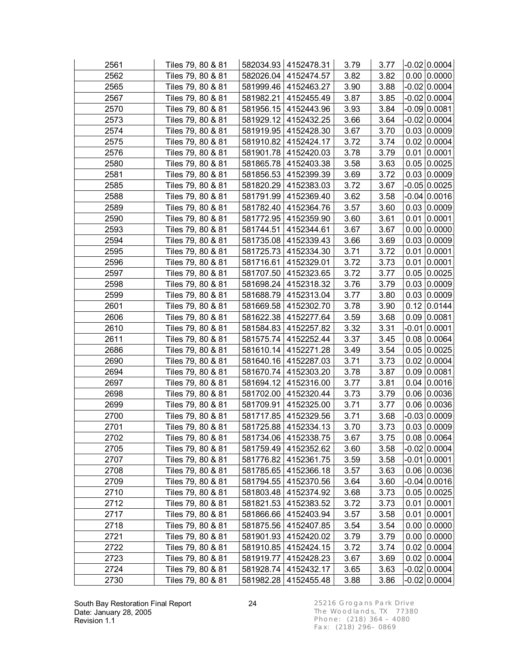| 2561 | Tiles 79, 80 & 81 |           | 582034.93 4152478.31   | 3.79 | 3.77 | $-0.02 0.0004 $    |
|------|-------------------|-----------|------------------------|------|------|--------------------|
| 2562 | Tiles 79, 80 & 81 |           | 582026.04   4152474.57 | 3.82 | 3.82 | $0.00$ 0.0000      |
| 2565 | Tiles 79, 80 & 81 |           | 581999.46 4152463.27   | 3.90 | 3.88 | $-0.02$ 0.0004     |
| 2567 | Tiles 79, 80 & 81 |           | 581982.21 4152455.49   | 3.87 | 3.85 | $-0.02$ 0.0004     |
| 2570 | Tiles 79, 80 & 81 |           | 581956.15 4152443.96   | 3.93 | 3.84 | $-0.09$ 0.0081     |
| 2573 | Tiles 79, 80 & 81 |           | 581929.12 4152432.25   | 3.66 | 3.64 | $-0.02$ 0.0004     |
| 2574 | Tiles 79, 80 & 81 |           | 581919.95   4152428.30 | 3.67 | 3.70 | 0.03   0.0009      |
| 2575 | Tiles 79, 80 & 81 |           | 581910.82   4152424.17 | 3.72 | 3.74 | $0.02$ 0.0004      |
| 2576 | Tiles 79, 80 & 81 |           | 581901.78 4152420.03   | 3.78 | 3.79 | $0.01$ 0.0001      |
| 2580 | Tiles 79, 80 & 81 |           | 581865.78 4152403.38   | 3.58 | 3.63 | 0.05 0.0025        |
| 2581 | Tiles 79, 80 & 81 |           | 581856.53 4152399.39   | 3.69 | 3.72 | 0.03   0.0009      |
| 2585 | Tiles 79, 80 & 81 |           | 581820.29 4152383.03   | 3.72 | 3.67 | $-0.05 0.0025$     |
| 2588 | Tiles 79, 80 & 81 |           | 581791.99   4152369.40 | 3.62 | 3.58 | $-0.04 0.0016$     |
| 2589 | Tiles 79, 80 & 81 |           | 581782.40   4152364.76 | 3.57 | 3.60 | 0.03   0.0009      |
| 2590 | Tiles 79, 80 & 81 | 581772.95 | 4152359.90             | 3.60 | 3.61 | $0.01$ 0.0001      |
| 2593 | Tiles 79, 80 & 81 |           | 581744.51 4152344.61   | 3.67 | 3.67 | $0.00$ 0.0000      |
| 2594 | Tiles 79, 80 & 81 |           | 581735.08 4152339.43   | 3.66 | 3.69 | 0.03   0.0009      |
| 2595 | Tiles 79, 80 & 81 |           | 581725.73 4152334.30   | 3.71 | 3.72 | $0.01$ 0.0001      |
| 2596 | Tiles 79, 80 & 81 |           | 581716.61 4152329.01   | 3.72 | 3.73 | $0.01$ 0.0001      |
| 2597 | Tiles 79, 80 & 81 |           | 581707.50 4152323.65   | 3.72 | 3.77 | 0.05 0.0025        |
| 2598 | Tiles 79, 80 & 81 |           | 581698.24 4152318.32   | 3.76 | 3.79 | 0.03   0.0009      |
| 2599 | Tiles 79, 80 & 81 |           | 581688.79 4152313.04   | 3.77 | 3.80 | 0.03   0.0009      |
| 2601 | Tiles 79, 80 & 81 |           | 581669.58   4152302.70 | 3.78 | 3.90 | 0.12   0.0144      |
| 2606 | Tiles 79, 80 & 81 |           | 581622.38 4152277.64   | 3.59 | 3.68 | $0.09$ 0.0081      |
| 2610 | Tiles 79, 80 & 81 |           | 581584.83 4152257.82   | 3.32 | 3.31 | $-0.01$ 0.0001     |
| 2611 | Tiles 79, 80 & 81 |           | 581575.74 4152252.44   | 3.37 | 3.45 | 0.08 0.0064        |
| 2686 | Tiles 79, 80 & 81 |           | 581610.14 4152271.28   | 3.49 | 3.54 | 0.05 0.0025        |
| 2690 | Tiles 79, 80 & 81 |           | 581640.16 4152287.03   | 3.71 | 3.73 | $0.02$ 0.0004      |
| 2694 | Tiles 79, 80 & 81 |           | 581670.74 4152303.20   | 3.78 | 3.87 | $0.09$ 0.0081      |
| 2697 | Tiles 79, 80 & 81 |           | 581694.12 4152316.00   | 3.77 | 3.81 | $0.04 \mid 0.0016$ |
| 2698 | Tiles 79, 80 & 81 |           | 581702.00 4152320.44   | 3.73 | 3.79 | 0.06 0.0036        |
| 2699 | Tiles 79, 80 & 81 |           | 581709.91   4152325.00 | 3.71 | 3.77 | 0.06 0.0036        |
| 2700 | Tiles 79, 80 & 81 |           | 581717.85 4152329.56   | 3.71 | 3.68 | $-0.03 0.0009$     |
| 2701 | Tiles 79, 80 & 81 |           | 581725.88 4152334.13   | 3.70 | 3.73 | 0.03   0.0009      |
| 2702 | Tiles 79, 80 & 81 |           | 581734.06   4152338.75 | 3.67 | 3.75 | 0.08 0.0064        |
| 2705 | Tiles 79, 80 & 81 |           | 581759.49 4152352.62   | 3.60 | 3.58 | $-0.02 0.0004$     |
| 2707 | Tiles 79, 80 & 81 | 581776.82 | 4152361.75             | 3.59 | 3.58 | $-0.01$ 0.0001     |
| 2708 | Tiles 79, 80 & 81 | 581785.65 | 4152366.18             | 3.57 | 3.63 | 0.06 0.0036        |
| 2709 | Tiles 79, 80 & 81 | 581794.55 | 4152370.56             | 3.64 | 3.60 | $-0.04 0.0016$     |
| 2710 | Tiles 79, 80 & 81 | 581803.48 | 4152374.92             | 3.68 | 3.73 | 0.05 0.0025        |
| 2712 | Tiles 79, 80 & 81 | 581821.53 | 4152383.52             | 3.72 | 3.73 | $0.01$ 0.0001      |
| 2717 | Tiles 79, 80 & 81 | 581866.66 | 4152403.94             | 3.57 | 3.58 | $0.01$ 0.0001      |
| 2718 | Tiles 79, 80 & 81 | 581875.56 | 4152407.85             | 3.54 | 3.54 | $0.00$ 0.0000      |
| 2721 | Tiles 79, 80 & 81 | 581901.93 | 4152420.02             | 3.79 | 3.79 | $0.00$ 0.0000      |
| 2722 | Tiles 79, 80 & 81 | 581910.85 | 4152424.15             | 3.72 | 3.74 | 0.02   0.0004      |
| 2723 | Tiles 79, 80 & 81 | 581919.77 | 4152428.23             | 3.67 | 3.69 | 0.02   0.0004      |
| 2724 | Tiles 79, 80 & 81 | 581928.74 | 4152432.17             | 3.65 | 3.63 | $-0.02$ 0.0004     |
| 2730 | Tiles 79, 80 & 81 |           | 581982.28   4152455.48 | 3.88 | 3.86 | $-0.02 0.0004 $    |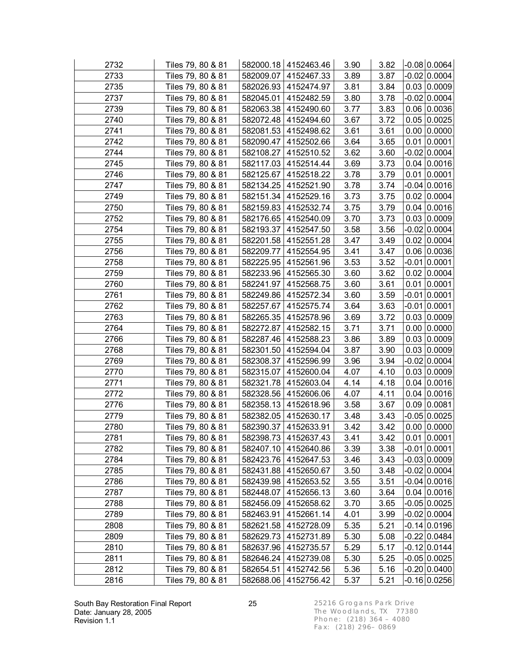| 2732 | Tiles 79, 80 & 81 |           | 582000.18 4152463.46   | 3.90 | 3.82 | $ $ -0.08 $ $ 0.0064 $ $ |
|------|-------------------|-----------|------------------------|------|------|--------------------------|
| 2733 | Tiles 79, 80 & 81 |           | 582009.07   4152467.33 | 3.89 | 3.87 | $-0.02$ 0.0004           |
| 2735 | Tiles 79, 80 & 81 |           | 582026.93   4152474.97 | 3.81 | 3.84 | 0.03   0.0009            |
| 2737 | Tiles 79, 80 & 81 |           | 582045.01   4152482.59 | 3.80 | 3.78 | $-0.02 0.0004$           |
| 2739 | Tiles 79, 80 & 81 |           | 582063.38 4152490.60   | 3.77 | 3.83 | 0.06 0.0036              |
| 2740 | Tiles 79, 80 & 81 |           | 582072.48   4152494.60 | 3.67 | 3.72 | 0.05 0.0025              |
| 2741 | Tiles 79, 80 & 81 |           | 582081.53 4152498.62   | 3.61 | 3.61 | 0.00   0.0000            |
| 2742 | Tiles 79, 80 & 81 |           | 582090.47   4152502.66 | 3.64 | 3.65 | $0.01$ 0.0001            |
| 2744 | Tiles 79, 80 & 81 |           | 582108.27   4152510.52 | 3.62 | 3.60 | $-0.02 0.0004$           |
| 2745 | Tiles 79, 80 & 81 |           | 582117.03 4152514.44   | 3.69 | 3.73 | 0.04 0.0016              |
| 2746 | Tiles 79, 80 & 81 |           | 582125.67   4152518.22 | 3.78 | 3.79 | $0.01$ 0.0001            |
| 2747 | Tiles 79, 80 & 81 |           | 582134.25   4152521.90 | 3.78 | 3.74 | $-0.04$ 0.0016           |
| 2749 | Tiles 79, 80 & 81 |           | 582151.34 4152529.16   | 3.73 | 3.75 | $0.02$ 0.0004            |
| 2750 | Tiles 79, 80 & 81 |           | 582159.83   4152532.74 | 3.75 | 3.79 | 0.04 0.0016              |
| 2752 | Tiles 79, 80 & 81 |           | 582176.65   4152540.09 | 3.70 | 3.73 | 0.03 0.0009              |
| 2754 | Tiles 79, 80 & 81 |           | 582193.37   4152547.50 | 3.58 | 3.56 | $-0.02$ 0.0004           |
| 2755 | Tiles 79, 80 & 81 |           | 582201.58 4152551.28   | 3.47 | 3.49 | $0.02$ 0.0004            |
| 2756 | Tiles 79, 80 & 81 |           | 582209.77   4152554.95 | 3.41 | 3.47 | $0.06$ 0.0036            |
| 2758 | Tiles 79, 80 & 81 |           | 582225.95   4152561.96 | 3.53 | 3.52 | $-0.01$ 0.0001           |
| 2759 | Tiles 79, 80 & 81 |           | 582233.96   4152565.30 | 3.60 | 3.62 | $0.02$ 0.0004            |
| 2760 | Tiles 79, 80 & 81 |           | 582241.97   4152568.75 | 3.60 | 3.61 | $0.01$ 0.0001            |
| 2761 | Tiles 79, 80 & 81 |           | 582249.86   4152572.34 | 3.60 | 3.59 | $-0.01$ 0.0001           |
| 2762 | Tiles 79, 80 & 81 |           | 582257.67   4152575.74 | 3.64 | 3.63 | $-0.01$ 0.0001           |
| 2763 | Tiles 79, 80 & 81 |           | 582265.35 4152578.96   | 3.69 | 3.72 | 0.03   0.0009            |
| 2764 | Tiles 79, 80 & 81 |           | 582272.87   4152582.15 | 3.71 | 3.71 | $0.00$ 0.0000            |
| 2766 | Tiles 79, 80 & 81 |           | 582287.46 4152588.23   | 3.86 | 3.89 | 0.03   0.0009            |
| 2768 | Tiles 79, 80 & 81 |           | 582301.50   4152594.04 | 3.87 | 3.90 | 0.03 0.0009              |
| 2769 | Tiles 79, 80 & 81 |           | 582308.37   4152596.99 | 3.96 | 3.94 | $-0.02$ 0.0004           |
| 2770 | Tiles 79, 80 & 81 |           | 582315.07   4152600.04 | 4.07 | 4.10 | 0.03   0.0009            |
| 2771 | Tiles 79, 80 & 81 |           | 582321.78   4152603.04 | 4.14 | 4.18 | $0.04 \mid 0.0016$       |
| 2772 | Tiles 79, 80 & 81 |           | 582328.56 4152606.06   | 4.07 | 4.11 | 0.04 0.0016              |
| 2776 | Tiles 79, 80 & 81 |           | 582358.13 4152618.96   | 3.58 | 3.67 | $0.09$ 0.0081            |
| 2779 | Tiles 79, 80 & 81 |           | 582382.05   4152630.17 | 3.48 | 3.43 | $-0.05 0.0025$           |
| 2780 | Tiles 79, 80 & 81 |           | 582390.37 4152633.91   | 3.42 | 3.42 | 0.00   0.0000            |
| 2781 | Tiles 79, 80 & 81 |           | 582398.73 4152637.43   | 3.41 | 3.42 | $0.01$ 0.0001            |
| 2782 | Tiles 79, 80 & 81 |           | 582407.10 4152640.86   | 3.39 | 3.38 | $-0.01 0.0001$           |
| 2784 | Tiles 79, 80 & 81 | 582423.76 | 4152647.53             | 3.46 | 3.43 | $-0.03 0.0009$           |
| 2785 | Tiles 79, 80 & 81 | 582431.88 | 4152650.67             | 3.50 | 3.48 | -0.02 0.0004             |
| 2786 | Tiles 79, 80 & 81 | 582439.98 | 4152653.52             | 3.55 | 3.51 | -0.04 0.0016             |
| 2787 | Tiles 79, 80 & 81 | 582448.07 | 4152656.13             | 3.60 | 3.64 | $0.04 \mid 0.0016$       |
| 2788 | Tiles 79, 80 & 81 | 582456.09 | 4152658.62             | 3.70 | 3.65 | $-0.05 0.0025$           |
| 2789 | Tiles 79, 80 & 81 | 582463.91 | 4152661.14             | 4.01 | 3.99 | $-0.02$ 0.0004           |
| 2808 | Tiles 79, 80 & 81 | 582621.58 | 4152728.09             | 5.35 | 5.21 | $-0.14 0.0196$           |
| 2809 | Tiles 79, 80 & 81 | 582629.73 | 4152731.89             | 5.30 | 5.08 | -0.22 0.0484             |
| 2810 | Tiles 79, 80 & 81 | 582637.96 | 4152735.57             | 5.29 | 5.17 | $-0.12 0.0144$           |
| 2811 | Tiles 79, 80 & 81 | 582646.24 | 4152739.08             | 5.30 | 5.25 | $-0.05 0.0025$           |
| 2812 | Tiles 79, 80 & 81 | 582654.51 | 4152742.56             | 5.36 | 5.16 | $-0.20 0.0400$           |
| 2816 | Tiles 79, 80 & 81 |           | 582688.06   4152756.42 | 5.37 | 5.21 | $-0.16 0.0256 $          |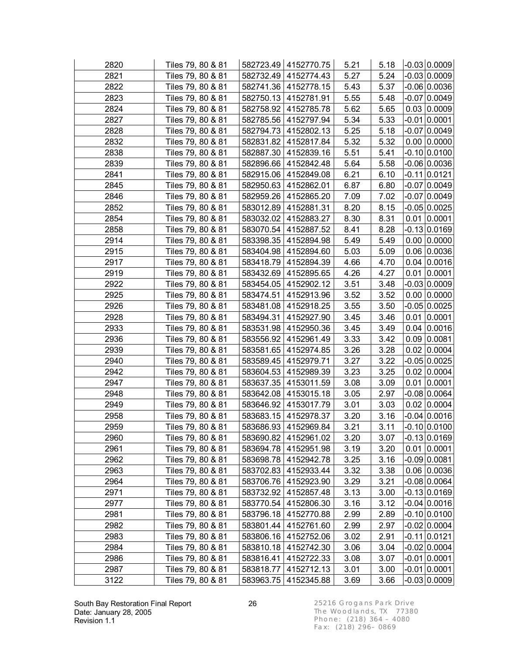| 2820 | Tiles 79, 80 & 81 |           | 582723.49 4152770.75   | 5.21 | 5.18 | $-0.03 0.0009 $    |
|------|-------------------|-----------|------------------------|------|------|--------------------|
| 2821 | Tiles 79, 80 & 81 |           | 582732.49   4152774.43 | 5.27 | 5.24 | $-0.03$ 0.0009     |
| 2822 | Tiles 79, 80 & 81 |           | 582741.36 4152778.15   | 5.43 | 5.37 | $-0.06$ 0.0036     |
| 2823 | Tiles 79, 80 & 81 |           | 582750.13 4152781.91   | 5.55 | 5.48 | $-0.07$ 0.0049     |
| 2824 | Tiles 79, 80 & 81 | 582758.92 | 4152785.78             | 5.62 | 5.65 | 0.03   0.0009      |
| 2827 | Tiles 79, 80 & 81 |           | 582785.56 4152797.94   | 5.34 | 5.33 | $-0.01$ 0.0001     |
| 2828 | Tiles 79, 80 & 81 |           | 582794.73 4152802.13   | 5.25 | 5.18 | $-0.07 0.0049$     |
| 2832 | Tiles 79, 80 & 81 |           | 582831.82   4152817.84 | 5.32 | 5.32 | $0.00$ 0.0000      |
| 2838 | Tiles 79, 80 & 81 |           | 582887.30 4152839.16   | 5.51 | 5.41 | $-0.10 0.0100$     |
| 2839 | Tiles 79, 80 & 81 |           | 582896.66   4152842.48 | 5.64 | 5.58 | -0.06 0.0036       |
| 2841 | Tiles 79, 80 & 81 |           | 582915.06 4152849.08   | 6.21 | 6.10 | $-0.11 0.0121$     |
| 2845 | Tiles 79, 80 & 81 |           | 582950.63   4152862.01 | 6.87 | 6.80 | $-0.07$ 0.0049     |
| 2846 | Tiles 79, 80 & 81 |           | 582959.26   4152865.20 | 7.09 | 7.02 | $-0.07$ 0.0049     |
| 2852 | Tiles 79, 80 & 81 |           | 583012.89   4152881.31 | 8.20 | 8.15 | $-0.05 0.0025$     |
| 2854 | Tiles 79, 80 & 81 |           | 583032.02   4152883.27 | 8.30 | 8.31 | $0.01$ 0.0001      |
| 2858 | Tiles 79, 80 & 81 |           | 583070.54   4152887.52 | 8.41 | 8.28 | $-0.13 0.0169$     |
| 2914 | Tiles 79, 80 & 81 |           | 583398.35 4152894.98   | 5.49 | 5.49 | $0.00$ 0.0000      |
| 2915 | Tiles 79, 80 & 81 |           | 583404.98 4152894.60   | 5.03 | 5.09 | 0.06 0.0036        |
| 2917 | Tiles 79, 80 & 81 |           | 583418.79 4152894.39   | 4.66 | 4.70 | $0.04 \mid 0.0016$ |
| 2919 | Tiles 79, 80 & 81 |           | 583432.69   4152895.65 | 4.26 | 4.27 | $0.01$ 0.0001      |
| 2922 | Tiles 79, 80 & 81 |           | 583454.05   4152902.12 | 3.51 | 3.48 | $-0.03 0.0009$     |
| 2925 | Tiles 79, 80 & 81 |           | 583474.51 4152913.96   | 3.52 | 3.52 | $0.00$ 0.0000      |
| 2926 | Tiles 79, 80 & 81 |           | 583481.08   4152918.25 | 3.55 | 3.50 | $-0.05 0.0025$     |
| 2928 | Tiles 79, 80 & 81 | 583494.31 | 4152927.90             | 3.45 | 3.46 | $0.01$ 0.0001      |
| 2933 | Tiles 79, 80 & 81 |           | 583531.98 4152950.36   | 3.45 | 3.49 | $0.04 \mid 0.0016$ |
| 2936 | Tiles 79, 80 & 81 |           | 583556.92   4152961.49 | 3.33 | 3.42 | $0.09$ 0.0081      |
| 2939 | Tiles 79, 80 & 81 |           | 583581.65   4152974.85 | 3.26 | 3.28 | 0.02   0.0004      |
| 2940 | Tiles 79, 80 & 81 |           | 583589.45   4152979.71 | 3.27 | 3.22 | -0.05 0.0025       |
| 2942 | Tiles 79, 80 & 81 |           | 583604.53   4152989.39 | 3.23 | 3.25 | 0.02 0.0004        |
| 2947 | Tiles 79, 80 & 81 |           | 583637.35 4153011.59   | 3.08 | 3.09 | $0.01$ 0.0001      |
| 2948 | Tiles 79, 80 & 81 |           | 583642.08 4153015.18   | 3.05 | 2.97 | $-0.08$ 0.0064     |
| 2949 | Tiles 79, 80 & 81 |           | 583646.92   4153017.79 | 3.01 | 3.03 | 0.02   0.0004      |
| 2958 | Tiles 79, 80 & 81 |           | 583683.15 4152978.37   | 3.20 | 3.16 | $-0.04$ 0.0016     |
| 2959 | Tiles 79, 80 & 81 |           | 583686.93 4152969.84   | 3.21 | 3.11 | $-0.10 0.0100 $    |
| 2960 | Tiles 79, 80 & 81 |           | 583690.82   4152961.02 | 3.20 | 3.07 | $-0.13 0.0169$     |
| 2961 | Tiles 79, 80 & 81 |           | 583694.78   4152951.98 | 3.19 | 3.20 | $0.01$ 0.0001      |
| 2962 | Tiles 79, 80 & 81 | 583698.78 | 4152942.78             | 3.25 | 3.16 | $-0.09 0.0081$     |
| 2963 | Tiles 79, 80 & 81 | 583702.83 | 4152933.44             | 3.32 | 3.38 | $0.06$ 0.0036      |
| 2964 | Tiles 79, 80 & 81 | 583706.76 | 4152923.90             | 3.29 | 3.21 | -0.08 0.0064       |
| 2971 | Tiles 79, 80 & 81 | 583732.92 | 4152857.48             | 3.13 | 3.00 | $-0.13 0.0169$     |
| 2977 | Tiles 79, 80 & 81 | 583770.54 | 4152806.30             | 3.16 | 3.12 | $-0.04$ 0.0016     |
| 2981 | Tiles 79, 80 & 81 | 583796.18 | 4152770.88             | 2.99 | 2.89 | $-0.10 0.0100$     |
| 2982 | Tiles 79, 80 & 81 | 583801.44 | 4152761.60             | 2.99 | 2.97 | $-0.02 0.0004$     |
| 2983 | Tiles 79, 80 & 81 | 583806.16 | 4152752.06             | 3.02 | 2.91 | $-0.11 0.0121$     |
| 2984 | Tiles 79, 80 & 81 | 583810.18 | 4152742.30             | 3.06 | 3.04 | $-0.02 0.0004$     |
| 2986 | Tiles 79, 80 & 81 | 583816.41 | 4152722.33             | 3.08 | 3.07 | $-0.01 0.0001$     |
| 2987 | Tiles 79, 80 & 81 | 583818.77 | 4152712.13             | 3.01 | 3.00 | $-0.01$ 0.0001     |
| 3122 | Tiles 79, 80 & 81 |           | 583963.75   4152345.88 | 3.69 | 3.66 | $-0.03 0.0009 $    |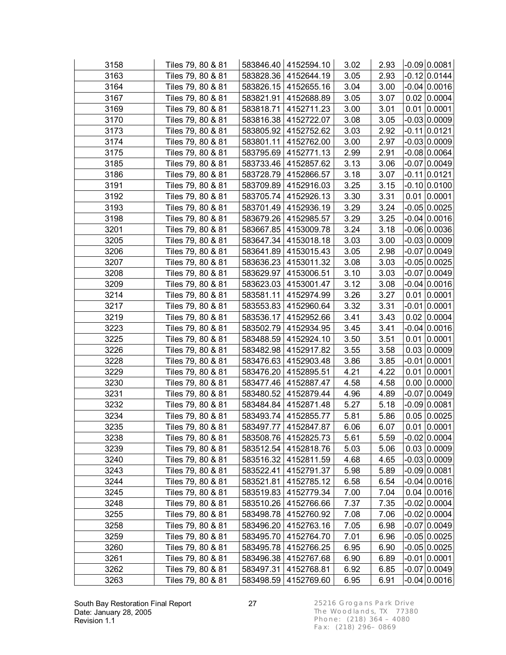| 3158 | Tiles 79, 80 & 81 |           | 583846.40   4152594.10 | 3.02 | 2.93 | $-0.09 0.0081 $    |
|------|-------------------|-----------|------------------------|------|------|--------------------|
| 3163 | Tiles 79, 80 & 81 |           | 583828.36   4152644.19 | 3.05 | 2.93 | $-0.12$ 0.0144     |
| 3164 | Tiles 79, 80 & 81 |           | 583826.15   4152655.16 | 3.04 | 3.00 | $-0.04$ 0.0016     |
| 3167 | Tiles 79, 80 & 81 |           | 583821.91   4152688.89 | 3.05 | 3.07 | $0.02$ 0.0004      |
| 3169 | Tiles 79, 80 & 81 |           | 583818.71 4152711.23   | 3.00 | 3.01 | $0.01$ 0.0001      |
| 3170 | Tiles 79, 80 & 81 |           | 583816.38   4152722.07 | 3.08 | 3.05 | $-0.03 0.0009$     |
| 3173 | Tiles 79, 80 & 81 |           | 583805.92 4152752.62   | 3.03 | 2.92 | $-0.11 0.0121$     |
| 3174 | Tiles 79, 80 & 81 |           | 583801.11 4152762.00   | 3.00 | 2.97 | $-0.03 0.0009$     |
| 3175 | Tiles 79, 80 & 81 |           | 583795.69   4152771.13 | 2.99 | 2.91 | $-0.08 0.0064$     |
| 3185 | Tiles 79, 80 & 81 |           | 583733.46 4152857.62   | 3.13 | 3.06 | $-0.07$ 0.0049     |
| 3186 | Tiles 79, 80 & 81 |           | 583728.79 4152866.57   | 3.18 | 3.07 | $-0.11 0.0121$     |
| 3191 | Tiles 79, 80 & 81 |           | 583709.89   4152916.03 | 3.25 | 3.15 | $-0.10 0.0100$     |
| 3192 | Tiles 79, 80 & 81 |           | 583705.74   4152926.13 | 3.30 | 3.31 | $0.01$ 0.0001      |
| 3193 | Tiles 79, 80 & 81 |           | 583701.49   4152936.19 | 3.29 | 3.24 | $-0.05 0.0025$     |
| 3198 | Tiles 79, 80 & 81 |           | 583679.26   4152985.57 | 3.29 | 3.25 | $-0.04 0.0016$     |
| 3201 | Tiles 79, 80 & 81 |           | 583667.85 4153009.78   | 3.24 | 3.18 | $-0.06 0.0036$     |
| 3205 | Tiles 79, 80 & 81 |           | 583647.34 4153018.18   | 3.03 | 3.00 | $-0.03 0.0009$     |
| 3206 | Tiles 79, 80 & 81 |           | 583641.89   4153015.43 | 3.05 | 2.98 | $-0.07 0.0049$     |
| 3207 | Tiles 79, 80 & 81 |           | 583636.23   4153011.32 | 3.08 | 3.03 | $-0.05$ 0.0025     |
| 3208 | Tiles 79, 80 & 81 |           | 583629.97   4153006.51 | 3.10 | 3.03 | -0.07 0.0049       |
| 3209 | Tiles 79, 80 & 81 |           | 583623.03   4153001.47 | 3.12 | 3.08 | $-0.04$ 0.0016     |
| 3214 | Tiles 79, 80 & 81 |           | 583581.11 4152974.99   | 3.26 | 3.27 | $0.01$ 0.0001      |
| 3217 | Tiles 79, 80 & 81 |           | 583553.83   4152960.64 | 3.32 | 3.31 | $-0.01$ 0.0001     |
| 3219 | Tiles 79, 80 & 81 |           | 583536.17   4152952.66 | 3.41 | 3.43 | 0.02   0.0004      |
| 3223 | Tiles 79, 80 & 81 | 583502.79 | 4152934.95             | 3.45 | 3.41 | $-0.04 0.0016$     |
| 3225 | Tiles 79, 80 & 81 |           | 583488.59 4152924.10   | 3.50 | 3.51 | $0.01$ 0.0001      |
| 3226 | Tiles 79, 80 & 81 |           | 583482.98 4152917.82   | 3.55 | 3.58 | 0.03   0.0009      |
| 3228 | Tiles 79, 80 & 81 |           | 583476.63 4152903.48   | 3.86 | 3.85 | $-0.01$ 0.0001     |
| 3229 | Tiles 79, 80 & 81 |           | 583476.20   4152895.51 | 4.21 | 4.22 | $0.01$ 0.0001      |
| 3230 | Tiles 79, 80 & 81 |           | 583477.46   4152887.47 | 4.58 | 4.58 | $0.00$ 0.0000      |
| 3231 | Tiles 79, 80 & 81 |           | 583480.52   4152879.44 | 4.96 | 4.89 | $-0.07$ 0.0049     |
| 3232 | Tiles 79, 80 & 81 |           | 583484.84 4152871.48   | 5.27 | 5.18 | $-0.09$ 0.0081     |
| 3234 | Tiles 79, 80 & 81 |           | 583493.74 4152855.77   | 5.81 | 5.86 | 0.05 0.0025        |
| 3235 | Tiles 79, 80 & 81 |           | 583497.77   4152847.87 | 6.06 | 6.07 | $0.01$ 0.0001      |
| 3238 | Tiles 79, 80 & 81 |           | 583508.76   4152825.73 | 5.61 | 5.59 | $-0.02 0.0004$     |
| 3239 | Tiles 79, 80 & 81 |           | 583512.54   4152818.76 | 5.03 | 5.06 | 0.03   0.0009      |
| 3240 | Tiles 79, 80 & 81 | 583516.32 | 4152811.59             | 4.68 | 4.65 | $-0.03 0.0009$     |
| 3243 | Tiles 79, 80 & 81 | 583522.41 | 4152791.37             | 5.98 | 5.89 | $-0.09 0.0081$     |
| 3244 | Tiles 79, 80 & 81 | 583521.81 | 4152785.12             | 6.58 | 6.54 | $-0.04 0.0016$     |
| 3245 | Tiles 79, 80 & 81 | 583519.83 | 4152779.34             | 7.00 | 7.04 | $0.04 \mid 0.0016$ |
| 3248 | Tiles 79, 80 & 81 | 583510.26 | 4152766.66             | 7.37 | 7.35 | $-0.02 0.0004$     |
| 3255 | Tiles 79, 80 & 81 | 583498.78 | 4152760.92             | 7.08 | 7.06 | $-0.02 0.0004$     |
| 3258 | Tiles 79, 80 & 81 | 583496.20 | 4152763.16             | 7.05 | 6.98 | -0.07 0.0049       |
| 3259 | Tiles 79, 80 & 81 | 583495.70 | 4152764.70             | 7.01 | 6.96 | $-0.05 0.0025$     |
| 3260 | Tiles 79, 80 & 81 | 583495.78 | 4152766.25             | 6.95 | 6.90 | $-0.05 0.0025$     |
| 3261 | Tiles 79, 80 & 81 | 583496.38 | 4152767.68             | 6.90 | 6.89 | $-0.01 0.0001$     |
| 3262 | Tiles 79, 80 & 81 | 583497.31 | 4152768.81             | 6.92 | 6.85 | $-0.07 0.0049$     |
| 3263 | Tiles 79, 80 & 81 | 583498.59 | 4152769.60             | 6.95 | 6.91 | $-0.04 0.0016 $    |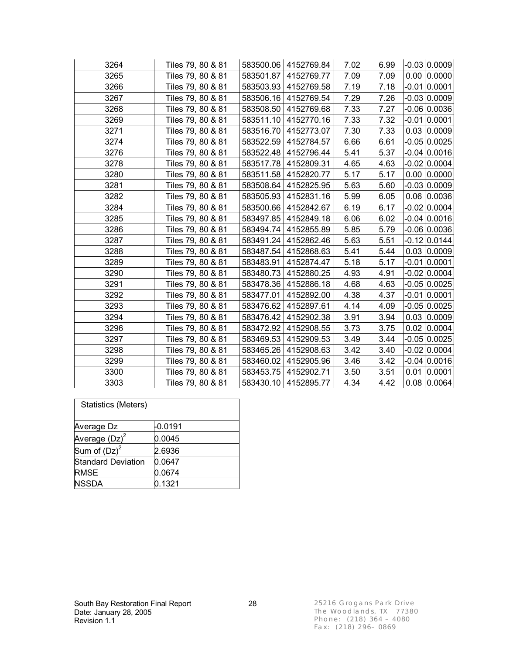| 3264 | Tiles 79, 80 & 81 |           | 583500.06   4152769.84 | 7.02 | 6.99 | $-0.03 0.0009$     |
|------|-------------------|-----------|------------------------|------|------|--------------------|
| 3265 | Tiles 79, 80 & 81 | 583501.87 | 4152769.77             | 7.09 | 7.09 | $0.00$ 0.0000      |
| 3266 | Tiles 79, 80 & 81 | 583503.93 | 4152769.58             | 7.19 | 7.18 | $-0.01 0.0001$     |
| 3267 | Tiles 79, 80 & 81 | 583506.16 | 4152769.54             | 7.29 | 7.26 | $-0.03 0.0009$     |
| 3268 | Tiles 79, 80 & 81 | 583508.50 | 4152769.68             | 7.33 | 7.27 | $-0.06 0.0036$     |
| 3269 | Tiles 79, 80 & 81 | 583511.10 | 4152770.16             | 7.33 | 7.32 | $-0.01$ 0.0001     |
| 3271 | Tiles 79, 80 & 81 | 583516.70 | 4152773.07             | 7.30 | 7.33 | 0.03   0.0009      |
| 3274 | Tiles 79, 80 & 81 | 583522.59 | 4152784.57             | 6.66 | 6.61 | $-0.05 0.0025$     |
| 3276 | Tiles 79, 80 & 81 |           | 583522.48   4152796.44 | 5.41 | 5.37 | $-0.04$ 0.0016     |
| 3278 | Tiles 79, 80 & 81 | 583517.78 | 4152809.31             | 4.65 | 4.63 | $-0.02$ 0.0004     |
| 3280 | Tiles 79, 80 & 81 | 583511.58 | 4152820.77             | 5.17 | 5.17 | $0.00$ 0.0000      |
| 3281 | Tiles 79, 80 & 81 |           | 583508.64   4152825.95 | 5.63 | 5.60 | $-0.03 0.0009$     |
| 3282 | Tiles 79, 80 & 81 | 583505.93 | 4152831.16             | 5.99 | 6.05 | 0.06 0.0036        |
| 3284 | Tiles 79, 80 & 81 |           | 583500.66   4152842.67 | 6.19 | 6.17 | $-0.02$ 0.0004     |
| 3285 | Tiles 79, 80 & 81 | 583497.85 | 4152849.18             | 6.06 | 6.02 | $-0.04 0.0016$     |
| 3286 | Tiles 79, 80 & 81 | 583494.74 | 4152855.89             | 5.85 | 5.79 | $-0.06$ 0.0036     |
| 3287 | Tiles 79, 80 & 81 | 583491.24 | 4152862.46             | 5.63 | 5.51 | $-0.12 0.0144$     |
| 3288 | Tiles 79, 80 & 81 |           | 583487.54 4152868.63   | 5.41 | 5.44 | 0.03   0.0009      |
| 3289 | Tiles 79, 80 & 81 | 583483.91 | 4152874.47             | 5.18 | 5.17 | $-0.01$ 0.0001     |
| 3290 | Tiles 79, 80 & 81 | 583480.73 | 4152880.25             | 4.93 | 4.91 | $-0.02$ 0.0004     |
| 3291 | Tiles 79, 80 & 81 | 583478.36 | 4152886.18             | 4.68 | 4.63 | $-0.05 0.0025$     |
| 3292 | Tiles 79, 80 & 81 | 583477.01 | 4152892.00             | 4.38 | 4.37 | $-0.01$ 0.0001     |
| 3293 | Tiles 79, 80 & 81 | 583476.62 | 4152897.61             | 4.14 | 4.09 | $-0.05 0.0025$     |
| 3294 | Tiles 79, 80 & 81 | 583476.42 | 4152902.38             | 3.91 | 3.94 | 0.03   0.0009      |
| 3296 | Tiles 79, 80 & 81 | 583472.92 | 4152908.55             | 3.73 | 3.75 | 0.02   0.0004      |
| 3297 | Tiles 79, 80 & 81 | 583469.53 | 4152909.53             | 3.49 | 3.44 | $-0.05 0.0025$     |
| 3298 | Tiles 79, 80 & 81 | 583465.26 | 4152908.63             | 3.42 | 3.40 | $-0.02 0.0004$     |
| 3299 | Tiles 79, 80 & 81 | 583460.02 | 4152905.96             | 3.46 | 3.42 | $-0.04$ 0.0016     |
| 3300 | Tiles 79, 80 & 81 | 583453.75 | 4152902.71             | 3.50 | 3.51 | $0.01$ 0.0001      |
| 3303 | Tiles 79, 80 & 81 |           | 583430.10 4152895.77   | 4.34 | 4.42 | $0.08 \mid 0.0064$ |

| <b>Statistics (Meters)</b> |         |
|----------------------------|---------|
| Average Dz                 | -0.0191 |
| Average $(Dz)^2$           | 0.0045  |
| Sum of $(Dz)^2$            | 2.6936  |
| <b>Standard Deviation</b>  | 0.0647  |
| <b>RMSE</b>                | 0.0674  |
| <b>NSSDA</b>               | 0.1321  |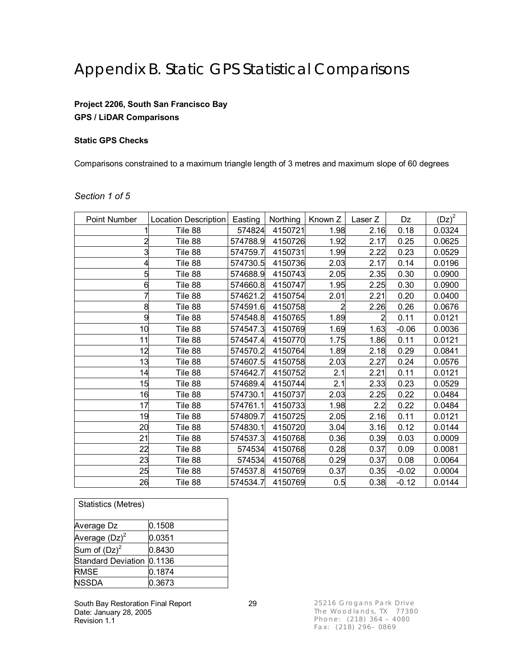### Appendix B. Static GPS Statistical Comparisons

#### **Project 2206, South San Francisco Bay GPS / LiDAR Comparisons**

#### **Static GPS Checks**

Comparisons constrained to a maximum triangle length of 3 metres and maximum slope of 60 degrees

#### *Section 1 of 5*

| Point Number | Location Description   Easting |          | Northing | Known Z | Laser Z        | Dz      | $(Dz)^2$ |
|--------------|--------------------------------|----------|----------|---------|----------------|---------|----------|
|              | Tile 88                        | 574824   | 4150721  | 1.98    | 2.16           | 0.18    | 0.0324   |
|              | Tile 88                        | 574788.9 | 4150726  | 1.92    | 2.17           | 0.25    | 0.0625   |
|              | Tile 88                        | 574759.7 | 4150731  | 1.99    | 2.22           | 0.23    | 0.0529   |
|              | Tile 88                        | 574730.5 | 4150736  | 2.03    | 2.17           | 0.14    | 0.0196   |
|              | Tile 88                        | 574688.9 | 4150743  | 2.05    | 2.35           | 0.30    | 0.0900   |
| 6            | Tile 88                        | 574660.8 | 4150747  | 1.95    | 2.25           | 0.30    | 0.0900   |
|              | Tile 88                        | 574621.2 | 4150754  | 2.01    | 2.21           | 0.20    | 0.0400   |
| 8            | Tile 88                        | 574591.6 | 4150758  | 2       | 2.26           | 0.26    | 0.0676   |
| 9            | Tile 88                        | 574548.8 | 4150765  | 1.89    | $\overline{2}$ | 0.11    | 0.0121   |
| 10           | Tile 88                        | 574547.3 | 4150769  | 1.69    | 1.63           | $-0.06$ | 0.0036   |
| 11           | Tile 88                        | 574547.4 | 4150770  | 1.75    | 1.86           | 0.11    | 0.0121   |
| 12           | Tile 88                        | 574570.2 | 4150764  | 1.89    | 2.18           | 0.29    | 0.0841   |
| 13           | Tile 88                        | 574607.5 | 4150758  | 2.03    | 2.27           | 0.24    | 0.0576   |
| 14           | Tile 88                        | 574642.7 | 4150752  | 2.1     | 2.21           | 0.11    | 0.0121   |
| 15           | Tile 88                        | 574689.4 | 4150744  | 2.1     | 2.33           | 0.23    | 0.0529   |
| 16           | Tile 88                        | 574730.1 | 4150737  | 2.03    | 2.25           | 0.22    | 0.0484   |
| 17           | Tile 88                        | 574761.1 | 4150733  | 1.98    | 2.2            | 0.22    | 0.0484   |
| 19           | Tile 88                        | 574809.7 | 4150725  | 2.05    | 2.16           | 0.11    | 0.0121   |
| 20           | Tile 88                        | 574830.1 | 4150720  | 3.04    | 3.16           | 0.12    | 0.0144   |
| 21           | Tile 88                        | 574537.3 | 4150768  | 0.36    | 0.39           | 0.03    | 0.0009   |
| 22           | Tile 88                        | 574534   | 4150768  | 0.28    | 0.37           | 0.09    | 0.0081   |
| 23           | Tile 88                        | 574534   | 4150768  | 0.29    | 0.37           | 0.08    | 0.0064   |
| 25           | Tile 88                        | 574537.8 | 4150769  | 0.37    | 0.35           | $-0.02$ | 0.0004   |
| 26           | Tile 88                        | 574534.7 | 4150769  | 0.5     | 0.38           | $-0.12$ | 0.0144   |

| <b>Statistics (Metres)</b> |        |
|----------------------------|--------|
| Average Dz                 | 0.1508 |
| Average $(Dz)^2$           | 0.0351 |
| Sum of $(Dz)^2$            | 0.8430 |
| Standard Deviation         | 0.1136 |
| <b>RMSE</b>                | 0.1874 |
| <b>NSSDA</b>               | 0.3673 |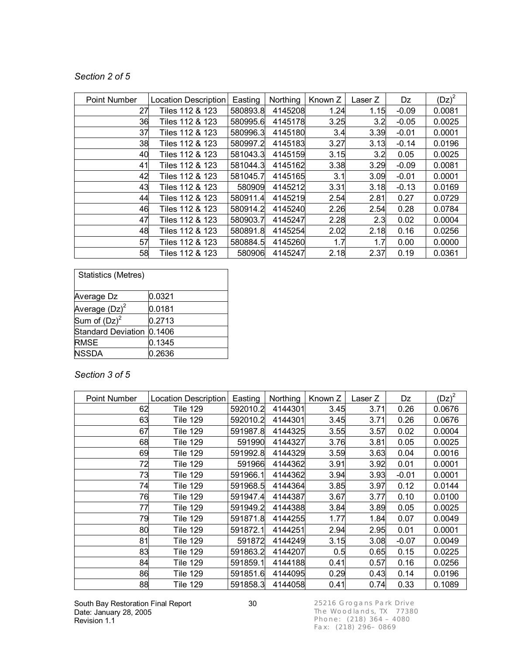#### *Section 2 of 5*

| Point Number | <b>Location Description</b> | Easting  | Northing | Known Z | Laser Z | Dz      | $(Dz)^2$ |
|--------------|-----------------------------|----------|----------|---------|---------|---------|----------|
| 27           | Tiles 112 & 123             | 580893.8 | 4145208  | 1.24    | 1.15    | $-0.09$ | 0.0081   |
| 36           | Tiles 112 & 123             | 580995.6 | 4145178  | 3.25    | 3.2     | $-0.05$ | 0.0025   |
| 37           | Tiles 112 & 123             | 580996.3 | 4145180  | 3.4     | 3.39    | $-0.01$ | 0.0001   |
| 38           | Tiles 112 & 123             | 580997.2 | 4145183  | 3.27    | 3.13    | $-0.14$ | 0.0196   |
| 40           | Tiles 112 & 123             | 581043.3 | 4145159  | 3.15    | 3.2     | 0.05    | 0.0025   |
| 41           | Tiles 112 & 123             | 581044.3 | 4145162  | 3.38    | 3.29    | $-0.09$ | 0.0081   |
| 42           | Tiles 112 & 123             | 581045.7 | 4145165  | 3.1     | 3.09    | $-0.01$ | 0.0001   |
| 43           | Tiles 112 & 123             | 580909   | 4145212  | 3.31    | 3.18    | $-0.13$ | 0.0169   |
| 44           | Tiles 112 & 123             | 580911.4 | 4145219  | 2.54    | 2.81    | 0.27    | 0.0729   |
| 46           | Tiles 112 & 123             | 580914.2 | 4145240  | 2.26    | 2.54    | 0.28    | 0.0784   |
| 47           | Tiles 112 & 123             | 580903.7 | 4145247  | 2.28    | 2.3     | 0.02    | 0.0004   |
| 48           | Tiles 112 & 123             | 580891.8 | 4145254  | 2.02    | 2.18    | 0.16    | 0.0256   |
| 57           | Tiles 112 & 123             | 580884.5 | 4145260  | 1.7     | 1.7     | 0.00    | 0.0000   |
| 58           | Tiles 112 & 123             | 580906   | 4145247  | 2.18    | 2.37    | 0.19    | 0.0361   |

| <b>Statistics (Metres)</b> |        |
|----------------------------|--------|
| Average Dz                 | 0.0321 |
| Average $(Dz)^2$           | 0.0181 |
| Sum of $(Dz)^2$            | 0.2713 |
| <b>Standard Deviation</b>  | 0.1406 |
| <b>RMSE</b>                | 0.1345 |
| <b>NSSDA</b>               | 0.2636 |

### *Section 3 of 5*

| Point Number | <b>Location Description</b> | Easting  | Northing | Known Z | Laser Z | Dz      | $(Dz)^2$ |
|--------------|-----------------------------|----------|----------|---------|---------|---------|----------|
| 62           | <b>Tile 129</b>             | 592010.2 | 4144301  | 3.45    | 3.71    | 0.26    | 0.0676   |
| 63           | <b>Tile 129</b>             | 592010.2 | 4144301  | 3.45    | 3.71    | 0.26    | 0.0676   |
| 67           | <b>Tile 129</b>             | 591987.8 | 4144325  | 3.55    | 3.57    | 0.02    | 0.0004   |
| 68           | <b>Tile 129</b>             | 591990   | 4144327  | 3.76    | 3.81    | 0.05    | 0.0025   |
| 69           | Tile 129                    | 591992.8 | 4144329  | 3.59    | 3.63    | 0.04    | 0.0016   |
| 72           | Tile 129                    | 591966   | 4144362  | 3.91    | 3.92    | 0.01    | 0.0001   |
| 73           | Tile 129                    | 591966.1 | 4144362  | 3.94    | 3.93    | $-0.01$ | 0.0001   |
| 74           | <b>Tile 129</b>             | 591968.5 | 4144364  | 3.85    | 3.97    | 0.12    | 0.0144   |
| 76           | <b>Tile 129</b>             | 591947.4 | 4144387  | 3.67    | 3.77    | 0.10    | 0.0100   |
| 77           | Tile 129                    | 591949.2 | 4144388  | 3.84    | 3.89    | 0.05    | 0.0025   |
| 79           | <b>Tile 129</b>             | 591871.8 | 4144255  | 1.77    | 1.84    | 0.07    | 0.0049   |
| 80           | Tile 129                    | 591872.1 | 4144251  | 2.94    | 2.95    | 0.01    | 0.0001   |
| 81           | <b>Tile 129</b>             | 591872   | 4144249  | 3.15    | 3.08    | $-0.07$ | 0.0049   |
| 83           | Tile 129                    | 591863.2 | 4144207  | 0.5     | 0.65    | 0.15    | 0.0225   |
| 84           | Tile 129                    | 591859.1 | 4144188  | 0.41    | 0.57    | 0.16    | 0.0256   |
| 86           | Tile 129                    | 591851.6 | 4144095  | 0.29    | 0.43    | 0.14    | 0.0196   |
| 88           | <b>Tile 129</b>             | 591858.3 | 4144058  | 0.41    | 0.74    | 0.33    | 0.1089   |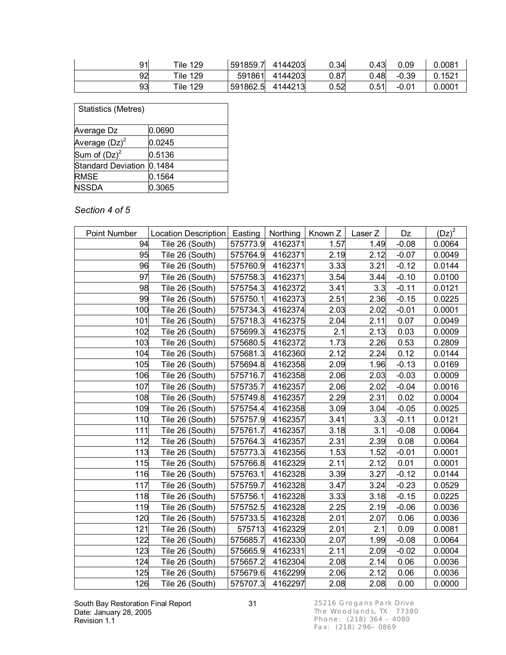| 91 | <b>Tile 129</b> | 591859.7 | 4144203 | 0.34 | 0.43 | 0.09    | 0.0081 |
|----|-----------------|----------|---------|------|------|---------|--------|
| 92 | <b>Tile 129</b> | 591861   | 4144203 | 0.87 | 0.48 | $-0.39$ | 0.1521 |
| 93 | Tile 129        | 591862.5 | 4144213 | 0.52 | 0.51 | $-0.01$ | 0.0001 |

| <b>Statistics (Metres)</b> |        |  |
|----------------------------|--------|--|
|                            |        |  |
| Average Dz                 | 0.0690 |  |
| Average $(Dz)^2$           | 0.0245 |  |
| Sum of $(Dz)^2$            | 0.5136 |  |
| Standard Deviation         | 0.1484 |  |
| <b>RMSE</b>                | 0.1564 |  |
| <b>NSSDA</b>               | 0.3065 |  |

#### *Section 4 of 5*

| Point Number | Location Description   Easting |          |         | Northing   Known Z | Laser Z | Dz      | $(Dz)^2$ |
|--------------|--------------------------------|----------|---------|--------------------|---------|---------|----------|
| 94           | Tile 26 (South)                | 575773.9 | 4162371 | 1.57               | 1.49    | $-0.08$ | 0.0064   |
| 95           | Tile 26 (South)                | 575764.9 | 4162371 | 2.19               | 2.12    | $-0.07$ | 0.0049   |
| 96           | Tile 26 (South)                | 575760.9 | 4162371 | 3.33               | 3.21    | $-0.12$ | 0.0144   |
| 97           | Tile 26 (South)                | 575758.3 | 4162371 | 3.54               | 3.44    | $-0.10$ | 0.0100   |
| 98           | Tile 26 (South)                | 575754.3 | 4162372 | 3.41               | 3.3     | $-0.11$ | 0.0121   |
| 99           | Tile 26 (South)                | 575750.1 | 4162373 | 2.51               | 2.36    | $-0.15$ | 0.0225   |
| 100          | Tile 26 (South)                | 575734.3 | 4162374 | 2.03               | 2.02    | $-0.01$ | 0.0001   |
| 101          | Tile 26 (South)                | 575718.3 | 4162375 | 2.04               | 2.11    | 0.07    | 0.0049   |
| 102          | Tile 26 (South)                | 575699.3 | 4162375 | 2.1                | 2.13    | 0.03    | 0.0009   |
| 103          | Tile 26 (South)                | 575680.5 | 4162372 | 1.73               | 2.26    | 0.53    | 0.2809   |
| 104          | Tile 26 (South)                | 575681.3 | 4162360 | 2.12               | 2.24    | 0.12    | 0.0144   |
| 105          | Tile 26 (South)                | 575694.8 | 4162358 | 2.09               | 1.96    | $-0.13$ | 0.0169   |
| 106          | Tile 26 (South)                | 575716.7 | 4162358 | 2.06               | 2.03    | $-0.03$ | 0.0009   |
| 107          | Tile 26 (South)                | 575735.7 | 4162357 | 2.06               | 2.02    | $-0.04$ | 0.0016   |
| 108          | Tile 26 (South)                | 575749.8 | 4162357 | 2.29               | 2.31    | 0.02    | 0.0004   |
| 109          | Tile 26 (South)                | 575754.4 | 4162358 | 3.09               | 3.04    | $-0.05$ | 0.0025   |
| 110          | Tile 26 (South)                | 575757.9 | 4162357 | 3.41               | 3.3     | $-0.11$ | 0.0121   |
| 111          | Tile 26 (South)                | 575761.7 | 4162357 | 3.18               | 3.1     | $-0.08$ | 0.0064   |
| 112          | Tile 26 (South)                | 575764.3 | 4162357 | 2.31               | 2.39    | 0.08    | 0.0064   |
| 113          | Tile 26 (South)                | 575773.3 | 4162356 | 1.53               | 1.52    | $-0.01$ | 0.0001   |
| 115          | Tile 26 (South)                | 575766.8 | 4162329 | 2.11               | 2.12    | 0.01    | 0.0001   |
| 116          | Tile 26 (South)                | 575763.1 | 4162328 | 3.39               | 3.27    | $-0.12$ | 0.0144   |
| 117          | Tile 26 (South)                | 575759.7 | 4162328 | 3.47               | 3.24    | $-0.23$ | 0.0529   |
| 118          | Tile 26 (South)                | 575756.1 | 4162328 | 3.33               | 3.18    | $-0.15$ | 0.0225   |
| 119          | Tile 26 (South)                | 575752.5 | 4162328 | 2.25               | 2.19    | $-0.06$ | 0.0036   |
| 120          | Tile 26 (South)                | 575733.5 | 4162328 | 2.01               | 2.07    | 0.06    | 0.0036   |
| 121          | Tile 26 (South)                | 575713   | 4162329 | 2.01               | 2.1     | 0.09    | 0.0081   |
| 122          | Tile 26 (South)                | 575685.7 | 4162330 | 2.07               | 1.99    | $-0.08$ | 0.0064   |
| 123          | Tile 26 (South)                | 575665.9 | 4162331 | 2.11               | 2.09    | $-0.02$ | 0.0004   |
| 124          | Tile 26 (South)                | 575657.2 | 4162304 | 2.08               | 2.14    | 0.06    | 0.0036   |
| 125          | Tile 26 (South)                | 575679.6 | 4162299 | 2.06               | 2.12    | 0.06    | 0.0036   |
| 126          | Tile 26 (South)                | 575707.3 | 4162297 | 2.08               | 2.08    | 0.00    | 0.0000   |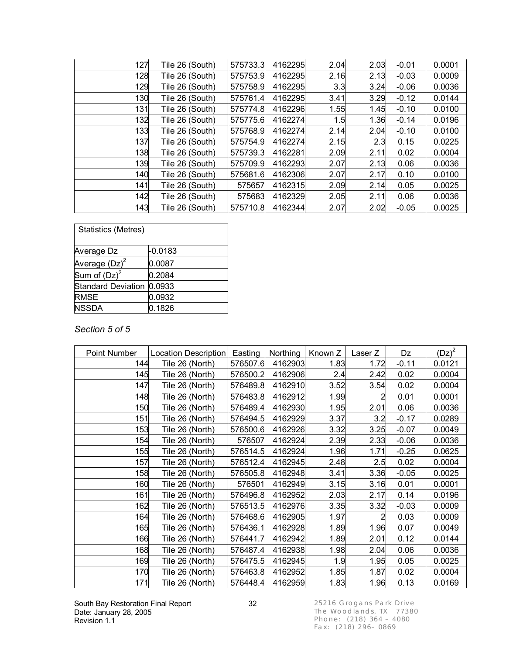| 127 | Tile 26 (South) | 575733.3 | 4162295 | 2.04 | 2.03 | $-0.01$ | 0.0001 |
|-----|-----------------|----------|---------|------|------|---------|--------|
| 128 | Tile 26 (South) | 575753.9 | 4162295 | 2.16 | 2.13 | $-0.03$ | 0.0009 |
| 129 | Tile 26 (South) | 575758.9 | 4162295 | 3.3  | 3.24 | $-0.06$ | 0.0036 |
| 130 | Tile 26 (South) | 575761.4 | 4162295 | 3.41 | 3.29 | $-0.12$ | 0.0144 |
| 131 | Tile 26 (South) | 575774.8 | 4162296 | 1.55 | 1.45 | $-0.10$ | 0.0100 |
| 132 | Tile 26 (South) | 575775.6 | 4162274 | 1.5  | 1.36 | $-0.14$ | 0.0196 |
| 133 | Tile 26 (South) | 575768.9 | 4162274 | 2.14 | 2.04 | $-0.10$ | 0.0100 |
| 137 | Tile 26 (South) | 575754.9 | 4162274 | 2.15 | 2.3  | 0.15    | 0.0225 |
| 138 | Tile 26 (South) | 575739.3 | 4162281 | 2.09 | 2.11 | 0.02    | 0.0004 |
| 139 | Tile 26 (South) | 575709.9 | 4162293 | 2.07 | 2.13 | 0.06    | 0.0036 |
| 140 | Tile 26 (South) | 575681.6 | 4162306 | 2.07 | 2.17 | 0.10    | 0.0100 |
| 141 | Tile 26 (South) | 575657   | 4162315 | 2.09 | 2.14 | 0.05    | 0.0025 |
| 142 | Tile 26 (South) | 575683   | 4162329 | 2.05 | 2.11 | 0.06    | 0.0036 |
| 143 | Tile 26 (South) | 575710.8 | 4162344 | 2.07 | 2.02 | $-0.05$ | 0.0025 |

| <b>Statistics (Metres)</b> |           |
|----------------------------|-----------|
| Average Dz                 | $-0.0183$ |
| Average $(Dz)^2$           | 0.0087    |
| Sum of $(Dz)^2$            | 0.2084    |
| Standard Deviation         | 0.0933    |
| <b>RMSE</b>                | 0.0932    |
| <b>NSSDA</b>               | 0.1826    |

#### *Section 5 of 5*

| Point Number | <b>Location Description</b> | Easting  | Northing | Known Z | Laser Z | Dz      | $(Dz)^2$ |
|--------------|-----------------------------|----------|----------|---------|---------|---------|----------|
| 144          | Tile 26 (North)             | 576507.6 | 4162903  | 1.83    | 1.72    | $-0.11$ | 0.0121   |
| 145          | Tile 26 (North)             | 576500.2 | 4162906  | 2.4     | 2.42    | 0.02    | 0.0004   |
| 147          | Tile 26 (North)             | 576489.8 | 4162910  | 3.52    | 3.54    | 0.02    | 0.0004   |
| 148          | Tile 26 (North)             | 576483.8 | 4162912  | 1.99    | 2       | 0.01    | 0.0001   |
| 150          | Tile 26 (North)             | 576489.4 | 4162930  | 1.95    | 2.01    | 0.06    | 0.0036   |
| 151          | Tile 26 (North)             | 576494.5 | 4162929  | 3.37    | 3.2     | $-0.17$ | 0.0289   |
| 153          | Tile 26 (North)             | 576500.6 | 4162926  | 3.32    | 3.25    | $-0.07$ | 0.0049   |
| 154          | Tile 26 (North)             | 576507   | 4162924  | 2.39    | 2.33    | $-0.06$ | 0.0036   |
| 155          | Tile 26 (North)             | 576514.5 | 4162924  | 1.96    | 1.71    | $-0.25$ | 0.0625   |
| 157          | Tile 26 (North)             | 576512.4 | 4162945  | 2.48    | 2.5     | 0.02    | 0.0004   |
| 158          | Tile 26 (North)             | 576505.8 | 4162948  | 3.41    | 3.36    | $-0.05$ | 0.0025   |
| 160          | Tile 26 (North)             | 576501   | 4162949  | 3.15    | 3.16    | 0.01    | 0.0001   |
| 161          | Tile 26 (North)             | 576496.8 | 4162952  | 2.03    | 2.17    | 0.14    | 0.0196   |
| 162          | Tile 26 (North)             | 576513.5 | 4162976  | 3.35    | 3.32    | $-0.03$ | 0.0009   |
| 164          | Tile 26 (North)             | 576468.6 | 4162905  | 1.97    |         | 0.03    | 0.0009   |
| 165          | Tile 26 (North)             | 576436.1 | 4162928  | 1.89    | 1.96    | 0.07    | 0.0049   |
| 166          | Tile 26 (North)             | 576441.7 | 4162942  | 1.89    | 2.01    | 0.12    | 0.0144   |
| 168          | Tile 26 (North)             | 576487.4 | 4162938  | 1.98    | 2.04    | 0.06    | 0.0036   |
| 169          | Tile 26 (North)             | 576475.5 | 4162945  | 1.9     | 1.95    | 0.05    | 0.0025   |
| 170          | Tile 26 (North)             | 576463.8 | 4162952  | 1.85    | 1.87    | 0.02    | 0.0004   |
| 171          | Tile 26 (North)             | 576448.4 | 4162959  | 1.83    | 1.96    | 0.13    | 0.0169   |